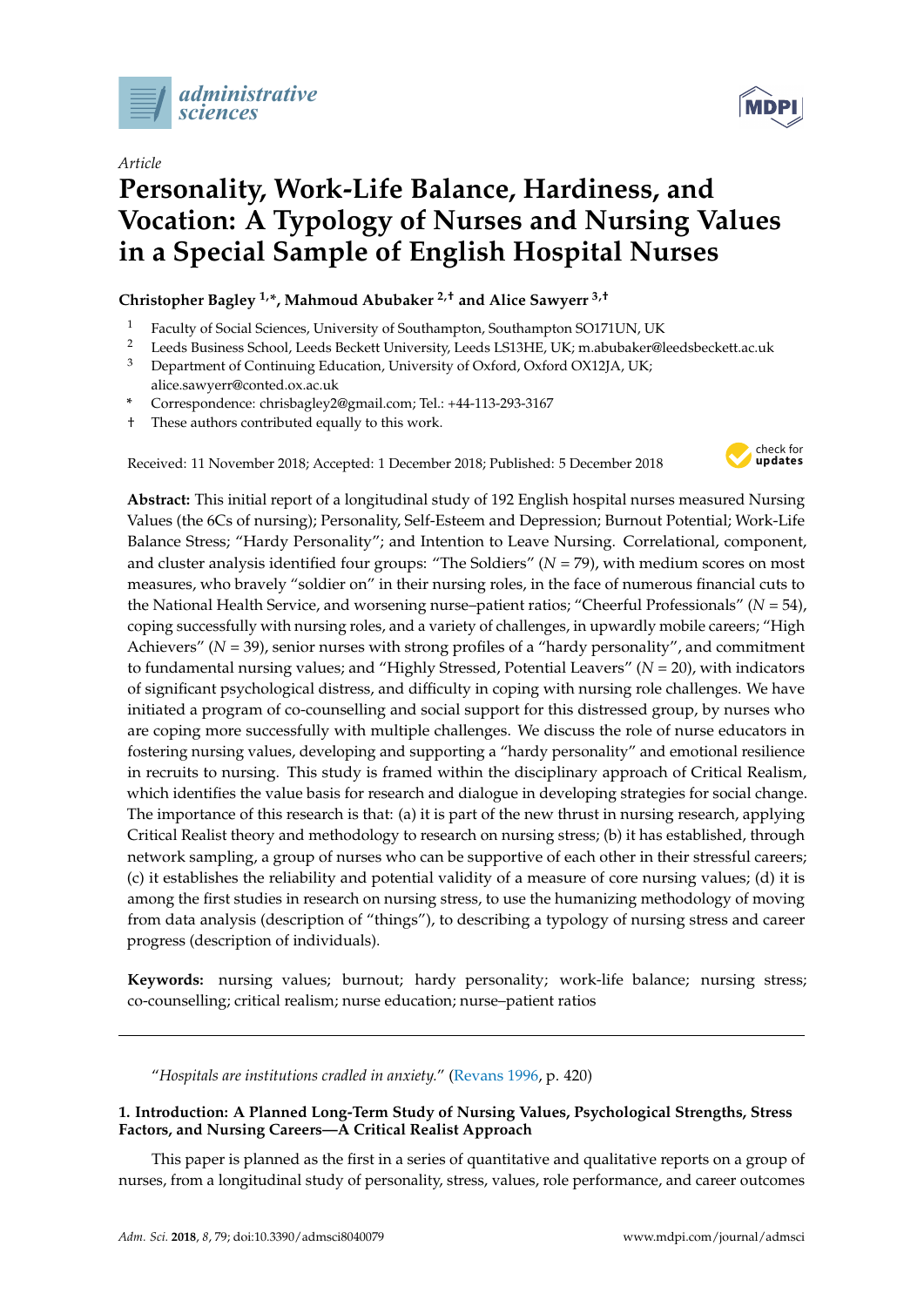

# *Article*



# **Personality, Work-Life Balance, Hardiness, and Vocation: A Typology of Nurses and Nursing Values in a Special Sample of English Hospital Nurses**

# **Christopher Bagley 1,\*, Mahmoud Abubaker 2,† and Alice Sawyerr 3,†**

- <sup>1</sup> Faculty of Social Sciences, University of Southampton, Southampton SO171UN, UK
- <sup>2</sup> Leeds Business School, Leeds Beckett University, Leeds LS13HE, UK; m.abubaker@leedsbeckett.ac.uk<br><sup>3</sup> Department of Continuing Education, University of Oxford Oxford OX121A, UK.
- <sup>3</sup> Department of Continuing Education, University of Oxford, Oxford OX12JA, UK; alice.sawyerr@conted.ox.ac.uk
- **\*** Correspondence: chrisbagley2@gmail.com; Tel.: +44-113-293-3167
- † These authors contributed equally to this work.

Received: 11 November 2018; Accepted: 1 December 2018; Published: 5 December 2018



**Abstract:** This initial report of a longitudinal study of 192 English hospital nurses measured Nursing Values (the 6Cs of nursing); Personality, Self-Esteem and Depression; Burnout Potential; Work-Life Balance Stress; "Hardy Personality"; and Intention to Leave Nursing. Correlational, component, and cluster analysis identified four groups: "The Soldiers" (*N* = 79), with medium scores on most measures, who bravely "soldier on" in their nursing roles, in the face of numerous financial cuts to the National Health Service, and worsening nurse–patient ratios; "Cheerful Professionals" (*N* = 54), coping successfully with nursing roles, and a variety of challenges, in upwardly mobile careers; "High Achievers" (*N* = 39), senior nurses with strong profiles of a "hardy personality", and commitment to fundamental nursing values; and "Highly Stressed, Potential Leavers" (*N* = 20), with indicators of significant psychological distress, and difficulty in coping with nursing role challenges. We have initiated a program of co-counselling and social support for this distressed group, by nurses who are coping more successfully with multiple challenges. We discuss the role of nurse educators in fostering nursing values, developing and supporting a "hardy personality" and emotional resilience in recruits to nursing. This study is framed within the disciplinary approach of Critical Realism, which identifies the value basis for research and dialogue in developing strategies for social change. The importance of this research is that: (a) it is part of the new thrust in nursing research, applying Critical Realist theory and methodology to research on nursing stress; (b) it has established, through network sampling, a group of nurses who can be supportive of each other in their stressful careers; (c) it establishes the reliability and potential validity of a measure of core nursing values; (d) it is among the first studies in research on nursing stress, to use the humanizing methodology of moving from data analysis (description of "things"), to describing a typology of nursing stress and career progress (description of individuals).

**Keywords:** nursing values; burnout; hardy personality; work-life balance; nursing stress; co-counselling; critical realism; nurse education; nurse–patient ratios

"*Hospitals are institutions cradled in anxiety.*" [\(Revans](#page-19-0) [1996,](#page-19-0) p. 420)

# **1. Introduction: A Planned Long-Term Study of Nursing Values, Psychological Strengths, Stress Factors, and Nursing Careers—A Critical Realist Approach**

This paper is planned as the first in a series of quantitative and qualitative reports on a group of nurses, from a longitudinal study of personality, stress, values, role performance, and career outcomes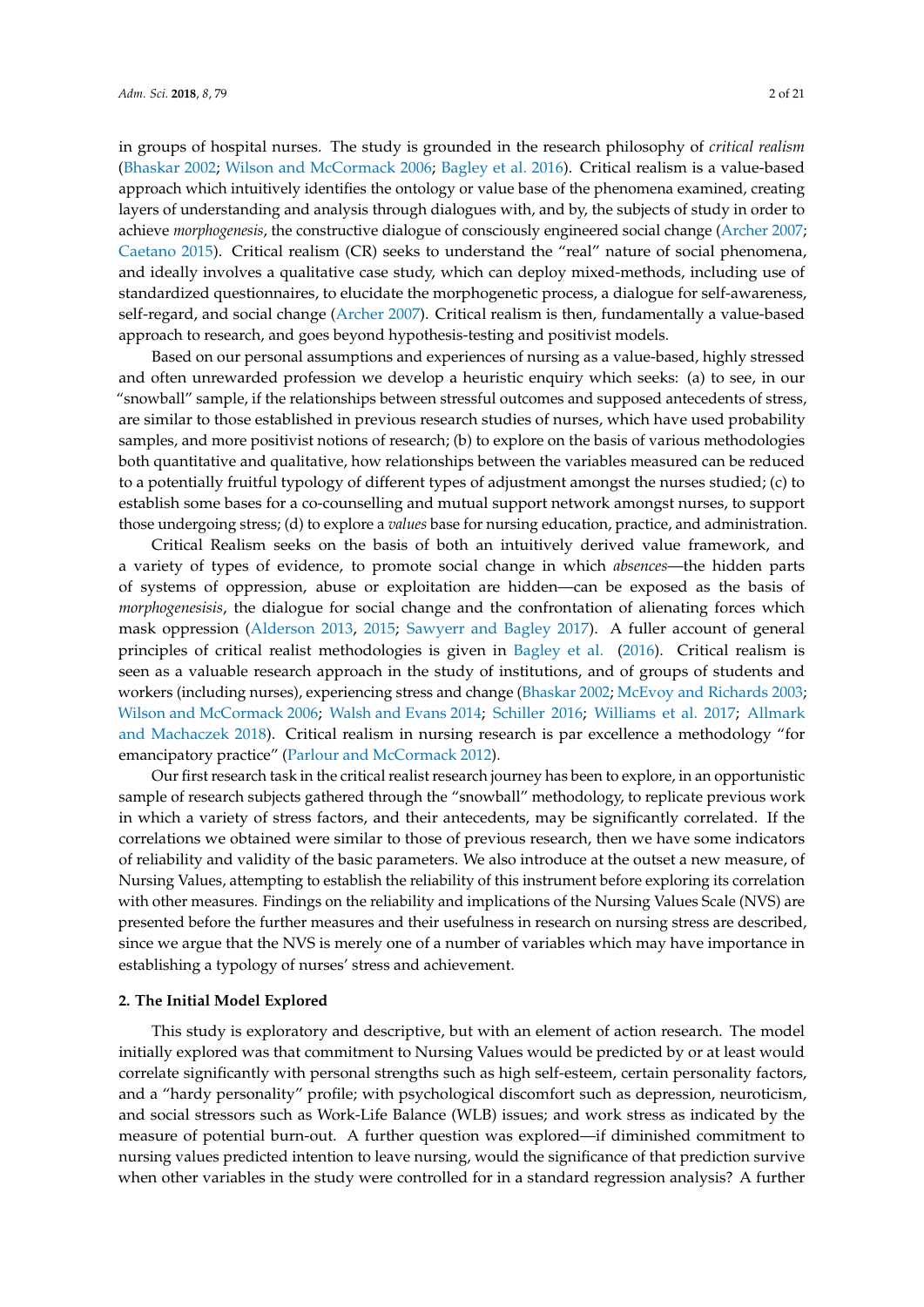in groups of hospital nurses. The study is grounded in the research philosophy of *critical realism* [\(Bhaskar](#page-17-0) [2002;](#page-17-0) [Wilson and McCormack](#page-20-0) [2006;](#page-20-0) [Bagley et al.](#page-16-0) [2016\)](#page-16-0). Critical realism is a value-based approach which intuitively identifies the ontology or value base of the phenomena examined, creating layers of understanding and analysis through dialogues with, and by, the subjects of study in order to achieve *morphogenesis*, the constructive dialogue of consciously engineered social change [\(Archer](#page-16-1) [2007;](#page-16-1) [Caetano](#page-17-1) [2015\)](#page-17-1). Critical realism (CR) seeks to understand the "real" nature of social phenomena, and ideally involves a qualitative case study, which can deploy mixed-methods, including use of standardized questionnaires, to elucidate the morphogenetic process, a dialogue for self-awareness, self-regard, and social change [\(Archer](#page-16-1) [2007\)](#page-16-1). Critical realism is then, fundamentally a value-based approach to research, and goes beyond hypothesis-testing and positivist models.

Based on our personal assumptions and experiences of nursing as a value-based, highly stressed and often unrewarded profession we develop a heuristic enquiry which seeks: (a) to see, in our "snowball" sample, if the relationships between stressful outcomes and supposed antecedents of stress, are similar to those established in previous research studies of nurses, which have used probability samples, and more positivist notions of research; (b) to explore on the basis of various methodologies both quantitative and qualitative, how relationships between the variables measured can be reduced to a potentially fruitful typology of different types of adjustment amongst the nurses studied; (c) to establish some bases for a co-counselling and mutual support network amongst nurses, to support those undergoing stress; (d) to explore a *values* base for nursing education, practice, and administration.

Critical Realism seeks on the basis of both an intuitively derived value framework, and a variety of types of evidence, to promote social change in which *absences*—the hidden parts of systems of oppression, abuse or exploitation are hidden—can be exposed as the basis of *morphogenesisis*, the dialogue for social change and the confrontation of alienating forces which mask oppression [\(Alderson](#page-16-2) [2013,](#page-16-2) [2015;](#page-16-3) [Sawyerr and Bagley](#page-20-1) [2017\)](#page-20-1). A fuller account of general principles of critical realist methodologies is given in [Bagley et al.](#page-16-0) [\(2016\)](#page-16-0). Critical realism is seen as a valuable research approach in the study of institutions, and of groups of students and workers (including nurses), experiencing stress and change [\(Bhaskar](#page-17-0) [2002;](#page-17-0) [McEvoy and Richards](#page-19-1) [2003;](#page-19-1) [Wilson and McCormack](#page-20-0) [2006;](#page-20-0) [Walsh and Evans](#page-20-2) [2014;](#page-20-2) [Schiller](#page-20-3) [2016;](#page-20-3) [Williams et al.](#page-20-4) [2017;](#page-20-4) [Allmark](#page-16-4) [and Machaczek](#page-16-4) [2018\)](#page-16-4). Critical realism in nursing research is par excellence a methodology "for emancipatory practice" [\(Parlour and McCormack](#page-19-2) [2012\)](#page-19-2).

Our first research task in the critical realist research journey has been to explore, in an opportunistic sample of research subjects gathered through the "snowball" methodology, to replicate previous work in which a variety of stress factors, and their antecedents, may be significantly correlated. If the correlations we obtained were similar to those of previous research, then we have some indicators of reliability and validity of the basic parameters. We also introduce at the outset a new measure, of Nursing Values, attempting to establish the reliability of this instrument before exploring its correlation with other measures. Findings on the reliability and implications of the Nursing Values Scale (NVS) are presented before the further measures and their usefulness in research on nursing stress are described, since we argue that the NVS is merely one of a number of variables which may have importance in establishing a typology of nurses' stress and achievement.

#### **2. The Initial Model Explored**

This study is exploratory and descriptive, but with an element of action research. The model initially explored was that commitment to Nursing Values would be predicted by or at least would correlate significantly with personal strengths such as high self-esteem, certain personality factors, and a "hardy personality" profile; with psychological discomfort such as depression, neuroticism, and social stressors such as Work-Life Balance (WLB) issues; and work stress as indicated by the measure of potential burn-out. A further question was explored—if diminished commitment to nursing values predicted intention to leave nursing, would the significance of that prediction survive when other variables in the study were controlled for in a standard regression analysis? A further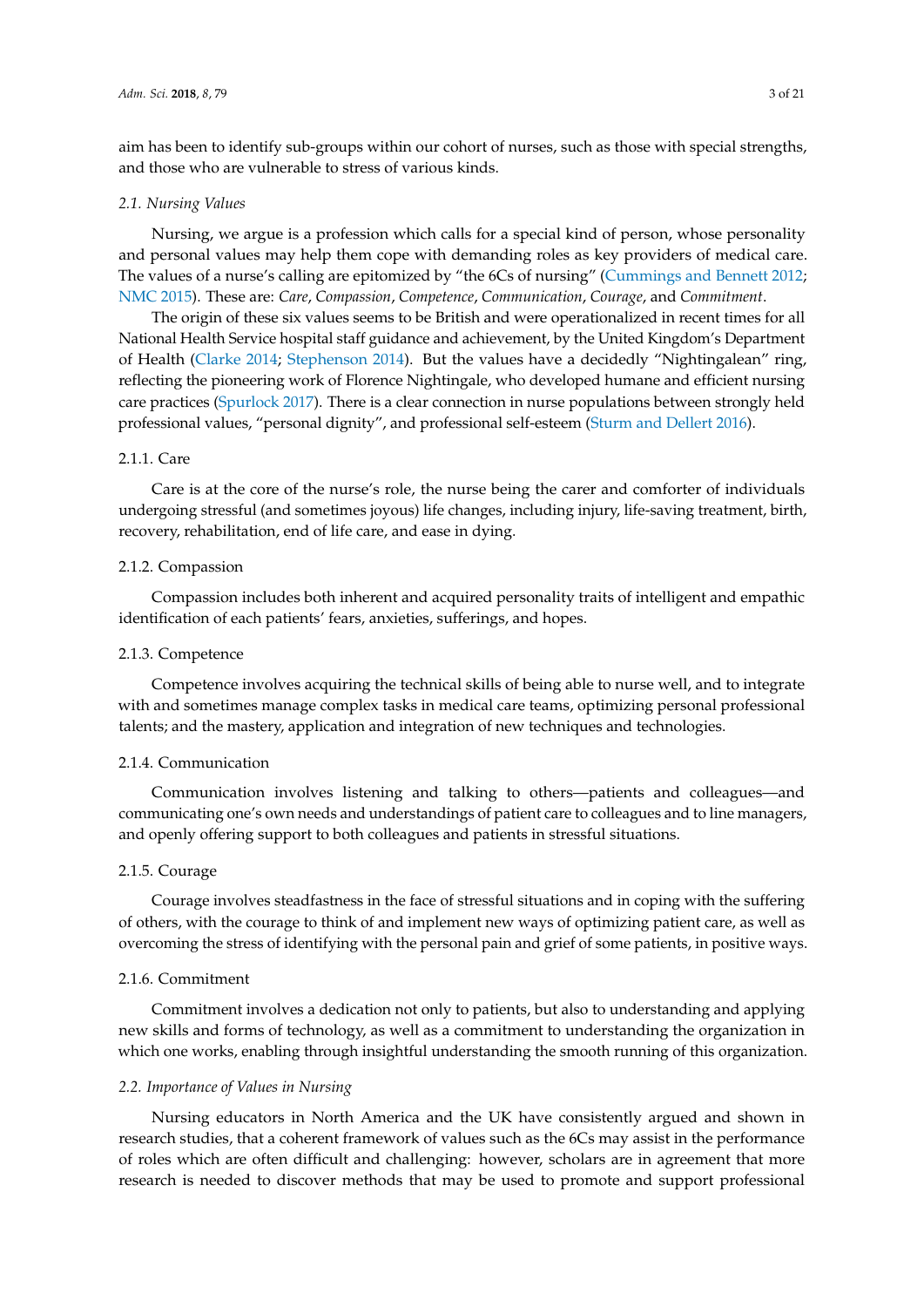aim has been to identify sub-groups within our cohort of nurses, such as those with special strengths, and those who are vulnerable to stress of various kinds.

#### *2.1. Nursing Values*

Nursing, we argue is a profession which calls for a special kind of person, whose personality and personal values may help them cope with demanding roles as key providers of medical care. The values of a nurse's calling are epitomized by "the 6Cs of nursing" [\(Cummings and Bennett](#page-17-2) [2012;](#page-17-2) [NMC](#page-19-3) [2015\)](#page-19-3). These are: *Care*, *Compassion*, *Competence*, *Communication*, *Courage*, and *Commitment*.

The origin of these six values seems to be British and were operationalized in recent times for all National Health Service hospital staff guidance and achievement, by the United Kingdom's Department of Health [\(Clarke](#page-17-3) [2014;](#page-17-3) [Stephenson](#page-20-5) [2014\)](#page-20-5). But the values have a decidedly "Nightingalean" ring, reflecting the pioneering work of Florence Nightingale, who developed humane and efficient nursing care practices [\(Spurlock](#page-20-6) [2017\)](#page-20-6). There is a clear connection in nurse populations between strongly held professional values, "personal dignity", and professional self-esteem [\(Sturm and Dellert](#page-20-7) [2016\)](#page-20-7).

# 2.1.1. Care

Care is at the core of the nurse's role, the nurse being the carer and comforter of individuals undergoing stressful (and sometimes joyous) life changes, including injury, life-saving treatment, birth, recovery, rehabilitation, end of life care, and ease in dying.

## 2.1.2. Compassion

Compassion includes both inherent and acquired personality traits of intelligent and empathic identification of each patients' fears, anxieties, sufferings, and hopes.

#### 2.1.3. Competence

Competence involves acquiring the technical skills of being able to nurse well, and to integrate with and sometimes manage complex tasks in medical care teams, optimizing personal professional talents; and the mastery, application and integration of new techniques and technologies.

#### 2.1.4. Communication

Communication involves listening and talking to others—patients and colleagues—and communicating one's own needs and understandings of patient care to colleagues and to line managers, and openly offering support to both colleagues and patients in stressful situations.

## 2.1.5. Courage

Courage involves steadfastness in the face of stressful situations and in coping with the suffering of others, with the courage to think of and implement new ways of optimizing patient care, as well as overcoming the stress of identifying with the personal pain and grief of some patients, in positive ways.

#### 2.1.6. Commitment

Commitment involves a dedication not only to patients, but also to understanding and applying new skills and forms of technology, as well as a commitment to understanding the organization in which one works, enabling through insightful understanding the smooth running of this organization.

#### *2.2. Importance of Values in Nursing*

Nursing educators in North America and the UK have consistently argued and shown in research studies, that a coherent framework of values such as the 6Cs may assist in the performance of roles which are often difficult and challenging: however, scholars are in agreement that more research is needed to discover methods that may be used to promote and support professional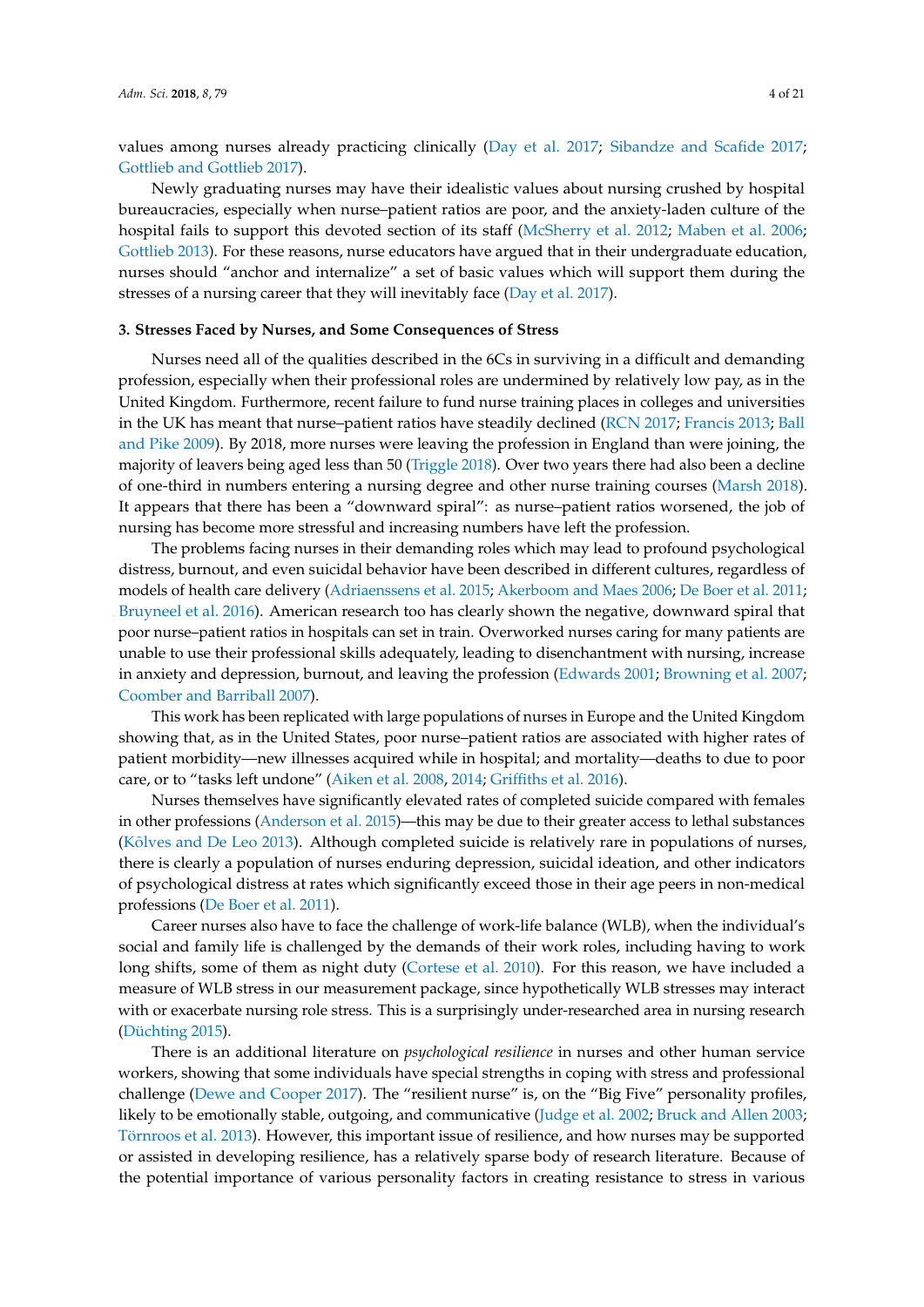values among nurses already practicing clinically [\(Day et al.](#page-17-4) [2017;](#page-17-4) [Sibandze and Scafide](#page-20-8) [2017;](#page-20-8) [Gottlieb and Gottlieb](#page-18-0) [2017\)](#page-18-0).

Newly graduating nurses may have their idealistic values about nursing crushed by hospital bureaucracies, especially when nurse–patient ratios are poor, and the anxiety-laden culture of the hospital fails to support this devoted section of its staff [\(McSherry et al.](#page-19-4) [2012;](#page-19-4) [Maben et al.](#page-19-5) [2006;](#page-19-5) [Gottlieb](#page-18-1) [2013\)](#page-18-1). For these reasons, nurse educators have argued that in their undergraduate education, nurses should "anchor and internalize" a set of basic values which will support them during the stresses of a nursing career that they will inevitably face [\(Day et al.](#page-17-4) [2017\)](#page-17-4).

## **3. Stresses Faced by Nurses, and Some Consequences of Stress**

Nurses need all of the qualities described in the 6Cs in surviving in a difficult and demanding profession, especially when their professional roles are undermined by relatively low pay, as in the United Kingdom. Furthermore, recent failure to fund nurse training places in colleges and universities in the UK has meant that nurse–patient ratios have steadily declined [\(RCN](#page-19-6) [2017;](#page-19-6) [Francis](#page-17-5) [2013;](#page-17-5) [Ball](#page-17-6) [and Pike](#page-17-6) [2009\)](#page-17-6). By 2018, more nurses were leaving the profession in England than were joining, the majority of leavers being aged less than 50 [\(Triggle](#page-20-9) [2018\)](#page-20-9). Over two years there had also been a decline of one-third in numbers entering a nursing degree and other nurse training courses [\(Marsh](#page-19-7) [2018\)](#page-19-7). It appears that there has been a "downward spiral": as nurse–patient ratios worsened, the job of nursing has become more stressful and increasing numbers have left the profession.

The problems facing nurses in their demanding roles which may lead to profound psychological distress, burnout, and even suicidal behavior have been described in different cultures, regardless of models of health care delivery [\(Adriaenssens et al.](#page-16-5) [2015;](#page-16-5) [Akerboom and Maes](#page-16-6) [2006;](#page-16-6) [De Boer et al.](#page-17-7) [2011;](#page-17-7) [Bruyneel et al.](#page-17-8) [2016\)](#page-17-8). American research too has clearly shown the negative, downward spiral that poor nurse–patient ratios in hospitals can set in train. Overworked nurses caring for many patients are unable to use their professional skills adequately, leading to disenchantment with nursing, increase in anxiety and depression, burnout, and leaving the profession [\(Edwards](#page-17-9) [2001;](#page-17-9) [Browning et al.](#page-17-10) [2007;](#page-17-10) [Coomber and Barriball](#page-17-11) [2007\)](#page-17-11).

This work has been replicated with large populations of nurses in Europe and the United Kingdom showing that, as in the United States, poor nurse–patient ratios are associated with higher rates of patient morbidity—new illnesses acquired while in hospital; and mortality—deaths to due to poor care, or to "tasks left undone" [\(Aiken et al.](#page-16-7) [2008,](#page-16-7) [2014;](#page-16-8) [Griffiths et al.](#page-18-2) [2016\)](#page-18-2).

Nurses themselves have significantly elevated rates of completed suicide compared with females in other professions [\(Anderson et al.](#page-16-9) [2015\)](#page-16-9)—this may be due to their greater access to lethal substances (Kõ[lves and De Leo](#page-18-3) [2013\)](#page-18-3). Although completed suicide is relatively rare in populations of nurses, there is clearly a population of nurses enduring depression, suicidal ideation, and other indicators of psychological distress at rates which significantly exceed those in their age peers in non-medical professions [\(De Boer et al.](#page-17-7) [2011\)](#page-17-7).

Career nurses also have to face the challenge of work-life balance (WLB), when the individual's social and family life is challenged by the demands of their work roles, including having to work long shifts, some of them as night duty [\(Cortese et al.](#page-17-12) [2010\)](#page-17-12). For this reason, we have included a measure of WLB stress in our measurement package, since hypothetically WLB stresses may interact with or exacerbate nursing role stress. This is a surprisingly under-researched area in nursing research [\(Düchting](#page-17-13) [2015\)](#page-17-13).

There is an additional literature on *psychological resilience* in nurses and other human service workers, showing that some individuals have special strengths in coping with stress and professional challenge [\(Dewe and Cooper](#page-17-14) [2017\)](#page-17-14). The "resilient nurse" is, on the "Big Five" personality profiles, likely to be emotionally stable, outgoing, and communicative [\(Judge et al.](#page-18-4) [2002;](#page-18-4) [Bruck and Allen](#page-17-15) [2003;](#page-17-15) [Törnroos et al.](#page-20-10) [2013\)](#page-20-10). However, this important issue of resilience, and how nurses may be supported or assisted in developing resilience, has a relatively sparse body of research literature. Because of the potential importance of various personality factors in creating resistance to stress in various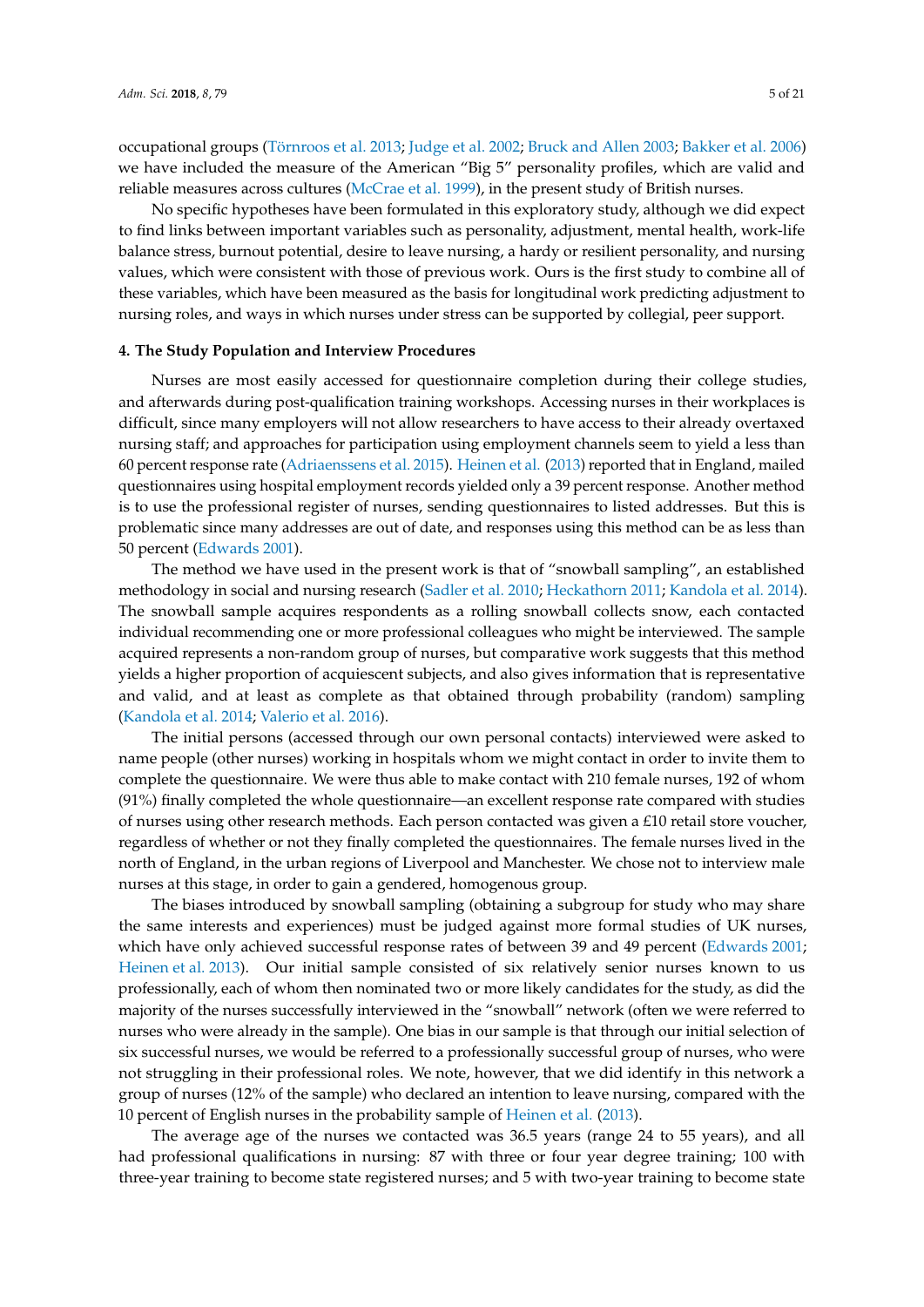occupational groups [\(Törnroos et al.](#page-20-10) [2013;](#page-20-10) [Judge et al.](#page-18-4) [2002;](#page-18-4) [Bruck and Allen](#page-17-15) [2003;](#page-17-15) [Bakker et al.](#page-16-10) [2006\)](#page-16-10) we have included the measure of the American "Big 5" personality profiles, which are valid and reliable measures across cultures [\(McCrae et al.](#page-19-8) [1999\)](#page-19-8), in the present study of British nurses.

No specific hypotheses have been formulated in this exploratory study, although we did expect to find links between important variables such as personality, adjustment, mental health, work-life balance stress, burnout potential, desire to leave nursing, a hardy or resilient personality, and nursing values, which were consistent with those of previous work. Ours is the first study to combine all of these variables, which have been measured as the basis for longitudinal work predicting adjustment to nursing roles, and ways in which nurses under stress can be supported by collegial, peer support.

#### **4. The Study Population and Interview Procedures**

Nurses are most easily accessed for questionnaire completion during their college studies, and afterwards during post-qualification training workshops. Accessing nurses in their workplaces is difficult, since many employers will not allow researchers to have access to their already overtaxed nursing staff; and approaches for participation using employment channels seem to yield a less than 60 percent response rate [\(Adriaenssens et al.](#page-16-5) [2015\)](#page-16-5). [Heinen et al.](#page-18-5) [\(2013\)](#page-18-5) reported that in England, mailed questionnaires using hospital employment records yielded only a 39 percent response. Another method is to use the professional register of nurses, sending questionnaires to listed addresses. But this is problematic since many addresses are out of date, and responses using this method can be as less than 50 percent [\(Edwards](#page-17-9) [2001\)](#page-17-9).

The method we have used in the present work is that of "snowball sampling", an established methodology in social and nursing research [\(Sadler et al.](#page-19-9) [2010;](#page-19-9) [Heckathorn](#page-18-6) [2011;](#page-18-6) [Kandola et al.](#page-18-7) [2014\)](#page-18-7). The snowball sample acquires respondents as a rolling snowball collects snow, each contacted individual recommending one or more professional colleagues who might be interviewed. The sample acquired represents a non-random group of nurses, but comparative work suggests that this method yields a higher proportion of acquiescent subjects, and also gives information that is representative and valid, and at least as complete as that obtained through probability (random) sampling [\(Kandola et al.](#page-18-7) [2014;](#page-18-7) [Valerio et al.](#page-20-11) [2016\)](#page-20-11).

The initial persons (accessed through our own personal contacts) interviewed were asked to name people (other nurses) working in hospitals whom we might contact in order to invite them to complete the questionnaire. We were thus able to make contact with 210 female nurses, 192 of whom (91%) finally completed the whole questionnaire—an excellent response rate compared with studies of nurses using other research methods. Each person contacted was given a £10 retail store voucher, regardless of whether or not they finally completed the questionnaires. The female nurses lived in the north of England, in the urban regions of Liverpool and Manchester. We chose not to interview male nurses at this stage, in order to gain a gendered, homogenous group.

The biases introduced by snowball sampling (obtaining a subgroup for study who may share the same interests and experiences) must be judged against more formal studies of UK nurses, which have only achieved successful response rates of between 39 and 49 percent [\(Edwards](#page-17-9) [2001;](#page-17-9) [Heinen et al.](#page-18-5) [2013\)](#page-18-5). Our initial sample consisted of six relatively senior nurses known to us professionally, each of whom then nominated two or more likely candidates for the study, as did the majority of the nurses successfully interviewed in the "snowball" network (often we were referred to nurses who were already in the sample). One bias in our sample is that through our initial selection of six successful nurses, we would be referred to a professionally successful group of nurses, who were not struggling in their professional roles. We note, however, that we did identify in this network a group of nurses (12% of the sample) who declared an intention to leave nursing, compared with the 10 percent of English nurses in the probability sample of [Heinen et al.](#page-18-5) [\(2013\)](#page-18-5).

The average age of the nurses we contacted was 36.5 years (range 24 to 55 years), and all had professional qualifications in nursing: 87 with three or four year degree training; 100 with three-year training to become state registered nurses; and 5 with two-year training to become state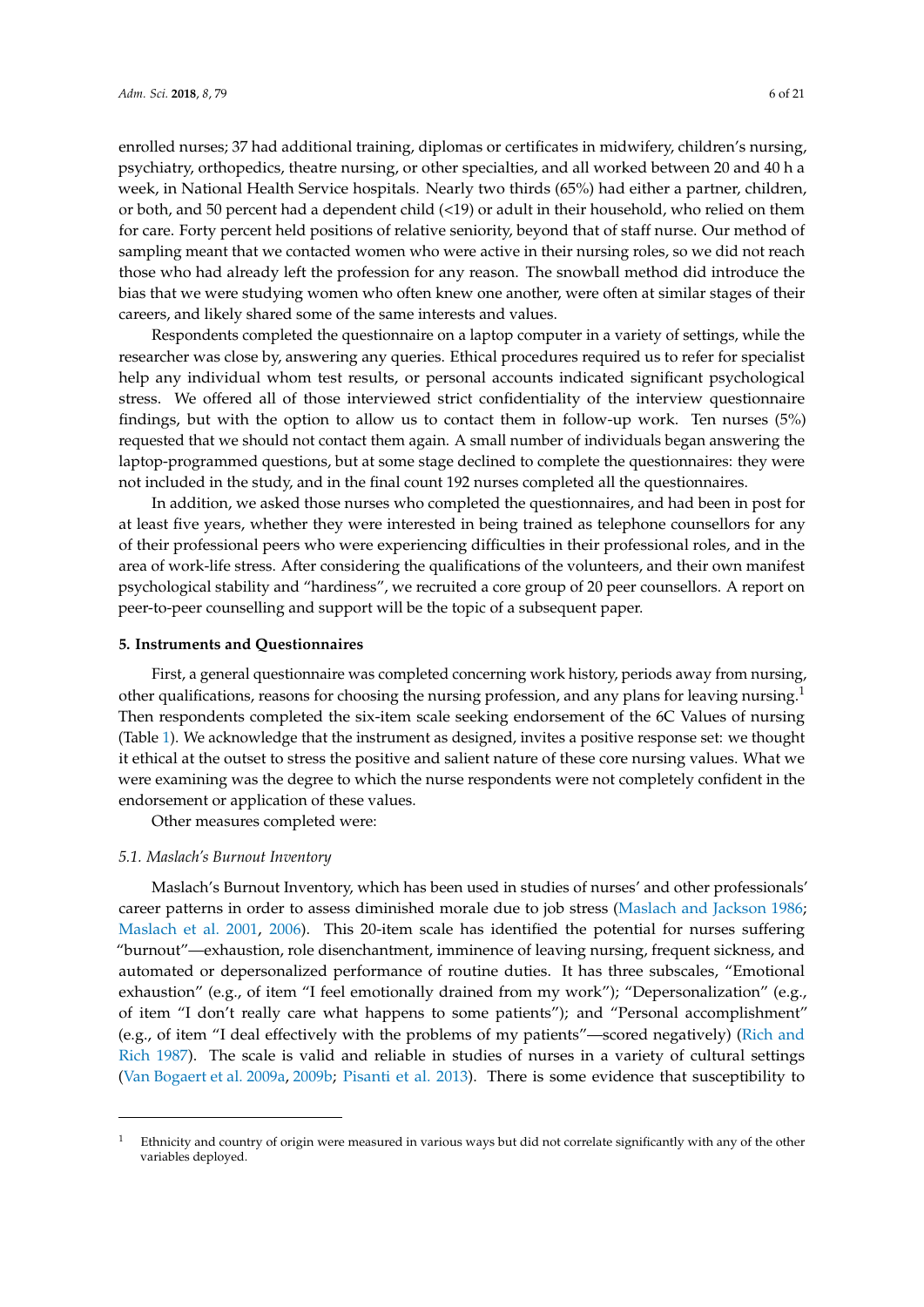enrolled nurses; 37 had additional training, diplomas or certificates in midwifery, children's nursing, psychiatry, orthopedics, theatre nursing, or other specialties, and all worked between 20 and 40 h a week, in National Health Service hospitals. Nearly two thirds (65%) had either a partner, children, or both, and 50 percent had a dependent child (<19) or adult in their household, who relied on them for care. Forty percent held positions of relative seniority, beyond that of staff nurse. Our method of sampling meant that we contacted women who were active in their nursing roles, so we did not reach those who had already left the profession for any reason. The snowball method did introduce the bias that we were studying women who often knew one another, were often at similar stages of their careers, and likely shared some of the same interests and values.

Respondents completed the questionnaire on a laptop computer in a variety of settings, while the researcher was close by, answering any queries. Ethical procedures required us to refer for specialist help any individual whom test results, or personal accounts indicated significant psychological stress. We offered all of those interviewed strict confidentiality of the interview questionnaire findings, but with the option to allow us to contact them in follow-up work. Ten nurses (5%) requested that we should not contact them again. A small number of individuals began answering the laptop-programmed questions, but at some stage declined to complete the questionnaires: they were not included in the study, and in the final count 192 nurses completed all the questionnaires.

In addition, we asked those nurses who completed the questionnaires, and had been in post for at least five years, whether they were interested in being trained as telephone counsellors for any of their professional peers who were experiencing difficulties in their professional roles, and in the area of work-life stress. After considering the qualifications of the volunteers, and their own manifest psychological stability and "hardiness", we recruited a core group of 20 peer counsellors. A report on peer-to-peer counselling and support will be the topic of a subsequent paper.

#### **5. Instruments and Questionnaires**

First, a general questionnaire was completed concerning work history, periods away from nursing, other qualifications, reasons for choosing the nursing profession, and any plans for leaving nursing.<sup>1</sup> Then respondents completed the six-item scale seeking endorsement of the 6C Values of nursing (Table [1\)](#page-9-0). We acknowledge that the instrument as designed, invites a positive response set: we thought it ethical at the outset to stress the positive and salient nature of these core nursing values. What we were examining was the degree to which the nurse respondents were not completely confident in the endorsement or application of these values.

Other measures completed were:

#### *5.1. Maslach's Burnout Inventory*

Maslach's Burnout Inventory, which has been used in studies of nurses' and other professionals' career patterns in order to assess diminished morale due to job stress [\(Maslach and Jackson](#page-19-10) [1986;](#page-19-10) [Maslach et al.](#page-19-11) [2001,](#page-19-11) [2006\)](#page-19-12). This 20-item scale has identified the potential for nurses suffering "burnout"—exhaustion, role disenchantment, imminence of leaving nursing, frequent sickness, and automated or depersonalized performance of routine duties. It has three subscales, "Emotional exhaustion" (e.g., of item "I feel emotionally drained from my work"); "Depersonalization" (e.g., of item "I don't really care what happens to some patients"); and "Personal accomplishment" (e.g., of item "I deal effectively with the problems of my patients"—scored negatively) [\(Rich and](#page-19-13) [Rich](#page-19-13) [1987\)](#page-19-13). The scale is valid and reliable in studies of nurses in a variety of cultural settings [\(Van Bogaert et al.](#page-20-12) [2009a,](#page-20-12) [2009b;](#page-20-13) [Pisanti et al.](#page-19-14) [2013\)](#page-19-14). There is some evidence that susceptibility to

<sup>1</sup> Ethnicity and country of origin were measured in various ways but did not correlate significantly with any of the other variables deployed.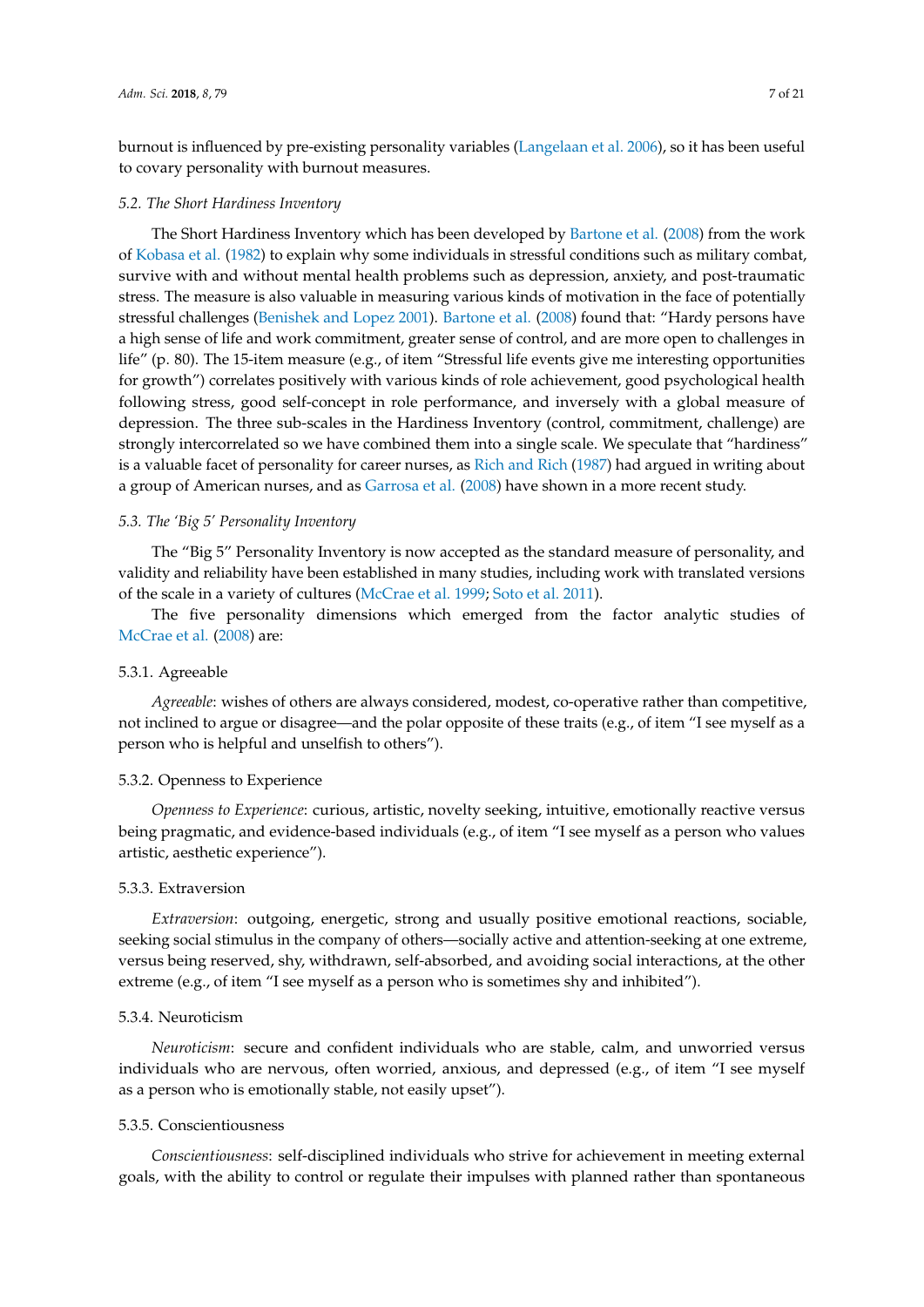burnout is influenced by pre-existing personality variables [\(Langelaan et al.](#page-18-8) [2006\)](#page-18-8), so it has been useful to covary personality with burnout measures.

#### *5.2. The Short Hardiness Inventory*

The Short Hardiness Inventory which has been developed by [Bartone et al.](#page-17-16) [\(2008\)](#page-17-16) from the work of [Kobasa et al.](#page-18-9) [\(1982\)](#page-18-9) to explain why some individuals in stressful conditions such as military combat, survive with and without mental health problems such as depression, anxiety, and post-traumatic stress. The measure is also valuable in measuring various kinds of motivation in the face of potentially stressful challenges [\(Benishek and Lopez](#page-17-17) [2001\)](#page-17-17). [Bartone et al.](#page-17-16) [\(2008\)](#page-17-16) found that: "Hardy persons have a high sense of life and work commitment, greater sense of control, and are more open to challenges in life" (p. 80). The 15-item measure (e.g., of item "Stressful life events give me interesting opportunities for growth") correlates positively with various kinds of role achievement, good psychological health following stress, good self-concept in role performance, and inversely with a global measure of depression. The three sub-scales in the Hardiness Inventory (control, commitment, challenge) are strongly intercorrelated so we have combined them into a single scale. We speculate that "hardiness" is a valuable facet of personality for career nurses, as [Rich and Rich](#page-19-13) [\(1987\)](#page-19-13) had argued in writing about a group of American nurses, and as [Garrosa et al.](#page-18-10) [\(2008\)](#page-18-10) have shown in a more recent study.

## *5.3. The 'Big 5' Personality Inventory*

The "Big 5" Personality Inventory is now accepted as the standard measure of personality, and validity and reliability have been established in many studies, including work with translated versions of the scale in a variety of cultures [\(McCrae et al.](#page-19-8) [1999;](#page-19-8) [Soto et al.](#page-20-14) [2011\)](#page-20-14).

The five personality dimensions which emerged from the factor analytic studies of [McCrae et al.](#page-19-15) [\(2008\)](#page-19-15) are:

## 5.3.1. Agreeable

*Agreeable*: wishes of others are always considered, modest, co-operative rather than competitive, not inclined to argue or disagree—and the polar opposite of these traits (e.g., of item "I see myself as a person who is helpful and unselfish to others").

#### 5.3.2. Openness to Experience

*Openness to Experience*: curious, artistic, novelty seeking, intuitive, emotionally reactive versus being pragmatic, and evidence-based individuals (e.g., of item "I see myself as a person who values artistic, aesthetic experience").

#### 5.3.3. Extraversion

*Extraversion*: outgoing, energetic, strong and usually positive emotional reactions, sociable, seeking social stimulus in the company of others—socially active and attention-seeking at one extreme, versus being reserved, shy, withdrawn, self-absorbed, and avoiding social interactions, at the other extreme (e.g., of item "I see myself as a person who is sometimes shy and inhibited").

## 5.3.4. Neuroticism

*Neuroticism*: secure and confident individuals who are stable, calm, and unworried versus individuals who are nervous, often worried, anxious, and depressed (e.g., of item "I see myself as a person who is emotionally stable, not easily upset").

## 5.3.5. Conscientiousness

*Conscientiousness*: self-disciplined individuals who strive for achievement in meeting external goals, with the ability to control or regulate their impulses with planned rather than spontaneous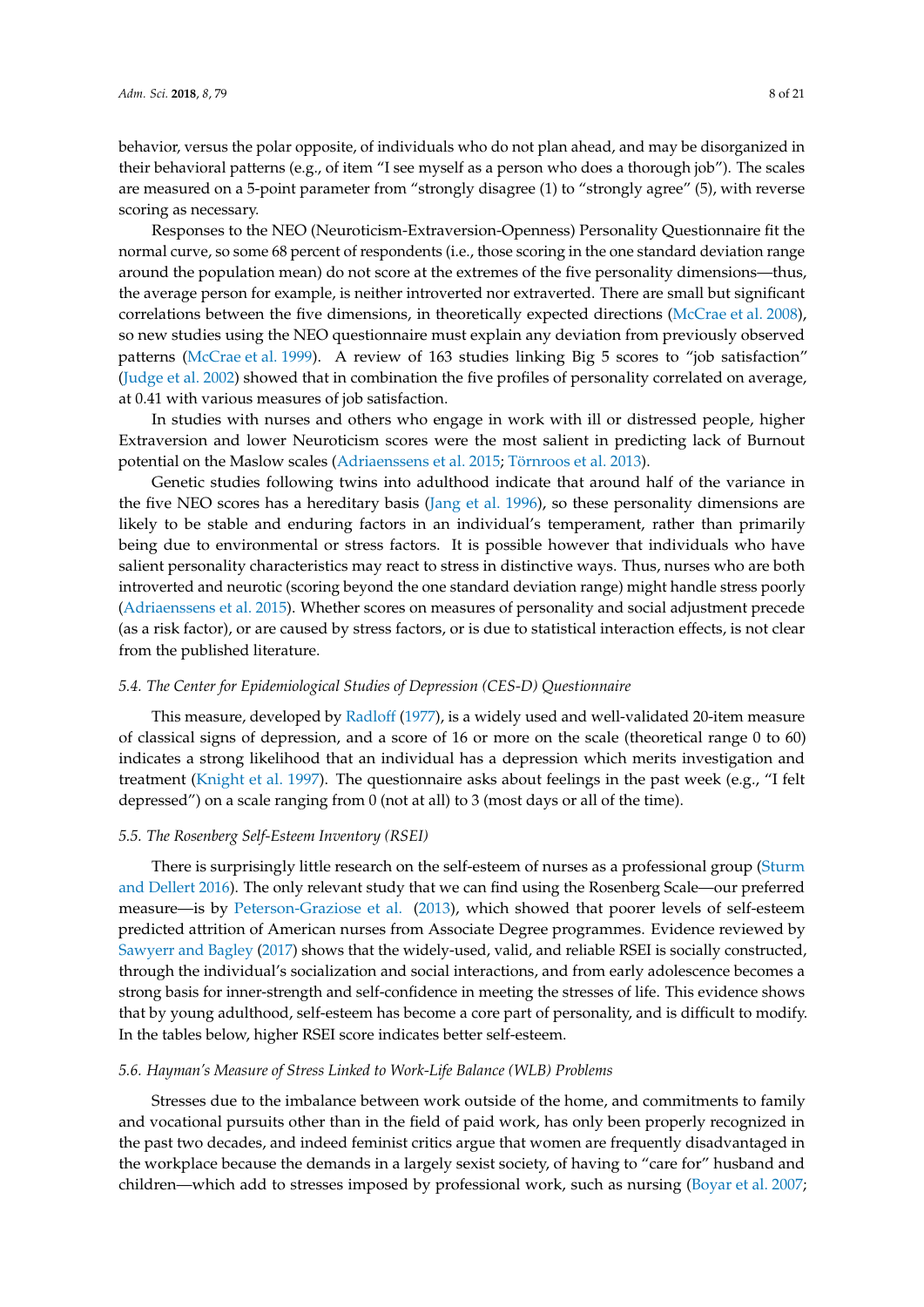behavior, versus the polar opposite, of individuals who do not plan ahead, and may be disorganized in their behavioral patterns (e.g., of item "I see myself as a person who does a thorough job"). The scales are measured on a 5-point parameter from "strongly disagree (1) to "strongly agree" (5), with reverse scoring as necessary.

Responses to the NEO (Neuroticism-Extraversion-Openness) Personality Questionnaire fit the normal curve, so some 68 percent of respondents (i.e., those scoring in the one standard deviation range around the population mean) do not score at the extremes of the five personality dimensions—thus, the average person for example, is neither introverted nor extraverted. There are small but significant correlations between the five dimensions, in theoretically expected directions [\(McCrae et al.](#page-19-15) [2008\)](#page-19-15), so new studies using the NEO questionnaire must explain any deviation from previously observed patterns [\(McCrae et al.](#page-19-8) [1999\)](#page-19-8). A review of 163 studies linking Big 5 scores to "job satisfaction" [\(Judge et al.](#page-18-4) [2002\)](#page-18-4) showed that in combination the five profiles of personality correlated on average, at 0.41 with various measures of job satisfaction.

In studies with nurses and others who engage in work with ill or distressed people, higher Extraversion and lower Neuroticism scores were the most salient in predicting lack of Burnout potential on the Maslow scales [\(Adriaenssens et al.](#page-16-5) [2015;](#page-16-5) [Törnroos et al.](#page-20-10) [2013\)](#page-20-10).

Genetic studies following twins into adulthood indicate that around half of the variance in the five NEO scores has a hereditary basis [\(Jang et al.](#page-18-11) [1996\)](#page-18-11), so these personality dimensions are likely to be stable and enduring factors in an individual's temperament, rather than primarily being due to environmental or stress factors. It is possible however that individuals who have salient personality characteristics may react to stress in distinctive ways. Thus, nurses who are both introverted and neurotic (scoring beyond the one standard deviation range) might handle stress poorly [\(Adriaenssens et al.](#page-16-5) [2015\)](#page-16-5). Whether scores on measures of personality and social adjustment precede (as a risk factor), or are caused by stress factors, or is due to statistical interaction effects, is not clear from the published literature.

## *5.4. The Center for Epidemiological Studies of Depression (CES-D) Questionnaire*

This measure, developed by [Radloff](#page-19-16) [\(1977\)](#page-19-16), is a widely used and well-validated 20-item measure of classical signs of depression, and a score of 16 or more on the scale (theoretical range 0 to 60) indicates a strong likelihood that an individual has a depression which merits investigation and treatment [\(Knight et al.](#page-18-12) [1997\)](#page-18-12). The questionnaire asks about feelings in the past week (e.g., "I felt depressed") on a scale ranging from 0 (not at all) to 3 (most days or all of the time).

## *5.5. The Rosenberg Self-Esteem Inventory (RSEI)*

There is surprisingly little research on the self-esteem of nurses as a professional group [\(Sturm](#page-20-7) [and Dellert](#page-20-7) [2016\)](#page-20-7). The only relevant study that we can find using the Rosenberg Scale—our preferred measure—is by [Peterson-Graziose et al.](#page-19-17) [\(2013\)](#page-19-17), which showed that poorer levels of self-esteem predicted attrition of American nurses from Associate Degree programmes. Evidence reviewed by [Sawyerr and Bagley](#page-20-1) [\(2017\)](#page-20-1) shows that the widely-used, valid, and reliable RSEI is socially constructed, through the individual's socialization and social interactions, and from early adolescence becomes a strong basis for inner-strength and self-confidence in meeting the stresses of life. This evidence shows that by young adulthood, self-esteem has become a core part of personality, and is difficult to modify. In the tables below, higher RSEI score indicates better self-esteem.

#### *5.6. Hayman's Measure of Stress Linked to Work-Life Balance (WLB) Problems*

Stresses due to the imbalance between work outside of the home, and commitments to family and vocational pursuits other than in the field of paid work, has only been properly recognized in the past two decades, and indeed feminist critics argue that women are frequently disadvantaged in the workplace because the demands in a largely sexist society, of having to "care for" husband and children—which add to stresses imposed by professional work, such as nursing [\(Boyar et al.](#page-17-18) [2007;](#page-17-18)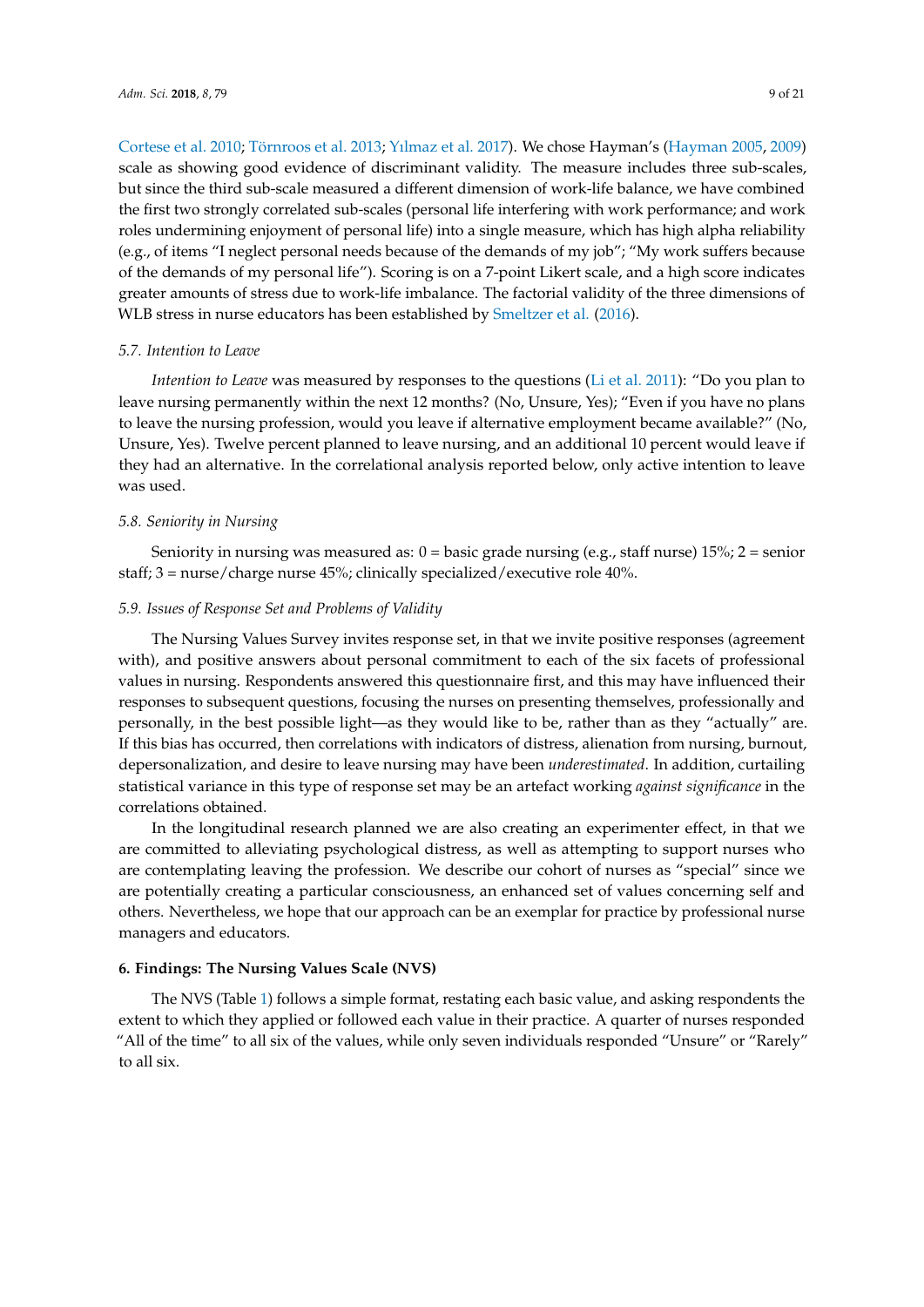[Cortese et al.](#page-17-12) [2010;](#page-17-12) [Törnroos et al.](#page-20-10) [2013;](#page-20-10) [Yılmaz et al.](#page-20-15) [2017\)](#page-20-15). We chose Hayman's [\(Hayman](#page-18-13) [2005,](#page-18-13) [2009\)](#page-18-14) scale as showing good evidence of discriminant validity. The measure includes three sub-scales, but since the third sub-scale measured a different dimension of work-life balance, we have combined the first two strongly correlated sub-scales (personal life interfering with work performance; and work roles undermining enjoyment of personal life) into a single measure, which has high alpha reliability (e.g., of items "I neglect personal needs because of the demands of my job"; "My work suffers because of the demands of my personal life"). Scoring is on a 7-point Likert scale, and a high score indicates greater amounts of stress due to work-life imbalance. The factorial validity of the three dimensions of WLB stress in nurse educators has been established by [Smeltzer et al.](#page-20-16) [\(2016\)](#page-20-16).

## *5.7. Intention to Leave*

*Intention to Leave* was measured by responses to the questions [\(Li et al.](#page-18-15) [2011\)](#page-18-15): "Do you plan to leave nursing permanently within the next 12 months? (No, Unsure, Yes); "Even if you have no plans to leave the nursing profession, would you leave if alternative employment became available?" (No, Unsure, Yes). Twelve percent planned to leave nursing, and an additional 10 percent would leave if they had an alternative. In the correlational analysis reported below, only active intention to leave was used.

# *5.8. Seniority in Nursing*

Seniority in nursing was measured as:  $0 =$  basic grade nursing (e.g., staff nurse)  $15\%$ ;  $2 =$  senior staff; 3 = nurse/charge nurse 45%; clinically specialized/executive role 40%.

## *5.9. Issues of Response Set and Problems of Validity*

The Nursing Values Survey invites response set, in that we invite positive responses (agreement with), and positive answers about personal commitment to each of the six facets of professional values in nursing. Respondents answered this questionnaire first, and this may have influenced their responses to subsequent questions, focusing the nurses on presenting themselves, professionally and personally, in the best possible light—as they would like to be, rather than as they "actually" are. If this bias has occurred, then correlations with indicators of distress, alienation from nursing, burnout, depersonalization, and desire to leave nursing may have been *underestimated*. In addition, curtailing statistical variance in this type of response set may be an artefact working *against significance* in the correlations obtained.

In the longitudinal research planned we are also creating an experimenter effect, in that we are committed to alleviating psychological distress, as well as attempting to support nurses who are contemplating leaving the profession. We describe our cohort of nurses as "special" since we are potentially creating a particular consciousness, an enhanced set of values concerning self and others. Nevertheless, we hope that our approach can be an exemplar for practice by professional nurse managers and educators.

## **6. Findings: The Nursing Values Scale (NVS)**

The NVS (Table [1\)](#page-9-0) follows a simple format, restating each basic value, and asking respondents the extent to which they applied or followed each value in their practice. A quarter of nurses responded "All of the time" to all six of the values, while only seven individuals responded "Unsure" or "Rarely" to all six.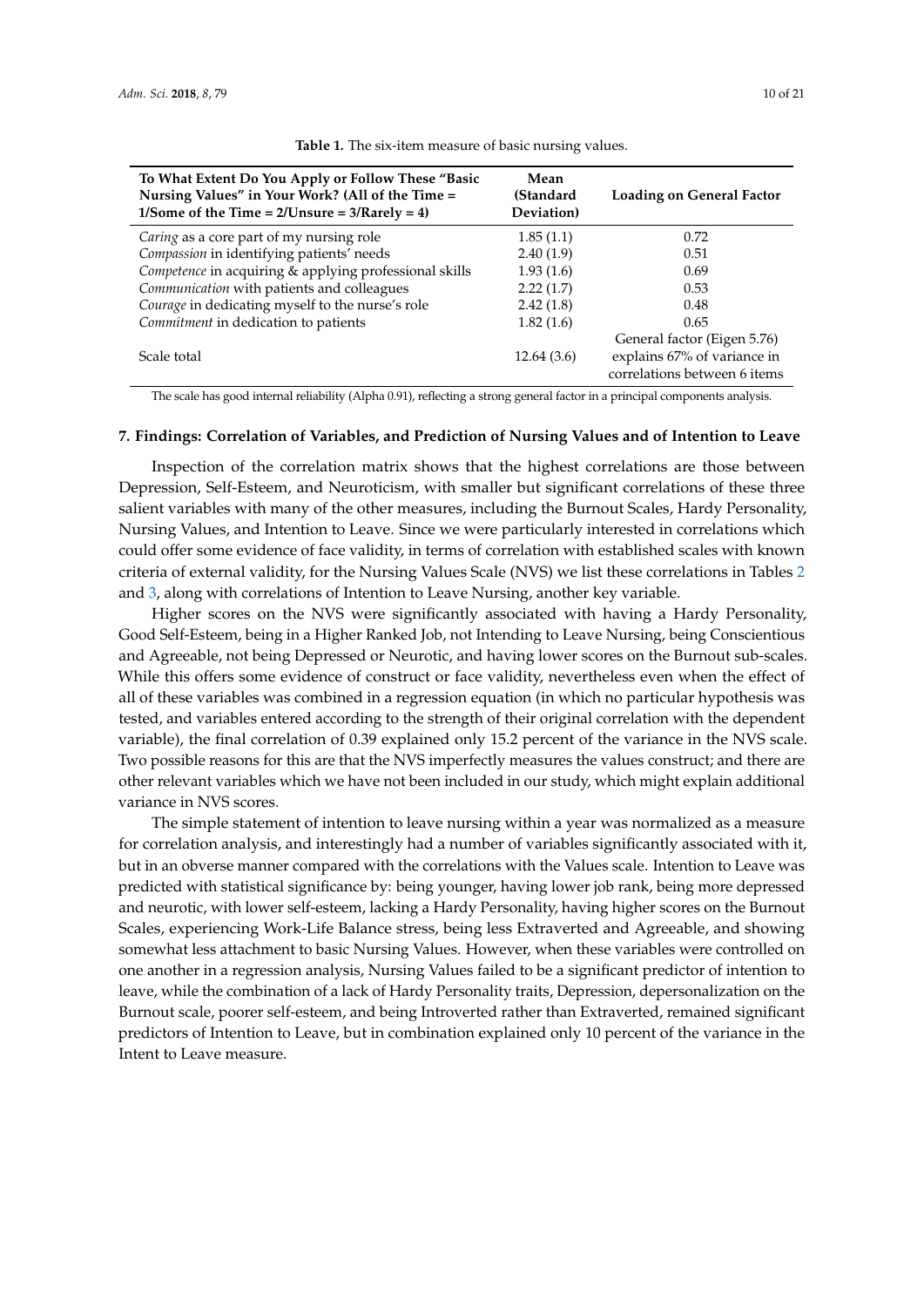<span id="page-9-0"></span>

| Mean<br>(Standard<br>Deviation) | <b>Loading on General Factor</b>                            |
|---------------------------------|-------------------------------------------------------------|
| 1.85(1.1)                       | 0.72                                                        |
| 2.40(1.9)                       | 0.51                                                        |
| 1.93(1.6)                       | 0.69                                                        |
| 2.22(1.7)                       | 0.53                                                        |
| 2.42(1.8)                       | 0.48                                                        |
| 1.82(1.6)                       | 0.65                                                        |
|                                 | General factor (Eigen 5.76)                                 |
| 12.64(3.6)                      | explains 67% of variance in<br>correlations between 6 items |
|                                 |                                                             |

| Table 1. The six-item measure of basic nursing values. |  |  |  |
|--------------------------------------------------------|--|--|--|
|--------------------------------------------------------|--|--|--|

The scale has good internal reliability (Alpha 0.91), reflecting a strong general factor in a principal components analysis.

#### **7. Findings: Correlation of Variables, and Prediction of Nursing Values and of Intention to Leave**

Inspection of the correlation matrix shows that the highest correlations are those between Depression, Self-Esteem, and Neuroticism, with smaller but significant correlations of these three salient variables with many of the other measures, including the Burnout Scales, Hardy Personality, Nursing Values, and Intention to Leave. Since we were particularly interested in correlations which could offer some evidence of face validity, in terms of correlation with established scales with known criteria of external validity, for the Nursing Values Scale (NVS) we list these correlations in Tables [2](#page-10-0) and [3,](#page-11-0) along with correlations of Intention to Leave Nursing, another key variable.

Higher scores on the NVS were significantly associated with having a Hardy Personality, Good Self-Esteem, being in a Higher Ranked Job, not Intending to Leave Nursing, being Conscientious and Agreeable, not being Depressed or Neurotic, and having lower scores on the Burnout sub-scales. While this offers some evidence of construct or face validity, nevertheless even when the effect of all of these variables was combined in a regression equation (in which no particular hypothesis was tested, and variables entered according to the strength of their original correlation with the dependent variable), the final correlation of 0.39 explained only 15.2 percent of the variance in the NVS scale. Two possible reasons for this are that the NVS imperfectly measures the values construct; and there are other relevant variables which we have not been included in our study, which might explain additional variance in NVS scores.

The simple statement of intention to leave nursing within a year was normalized as a measure for correlation analysis, and interestingly had a number of variables significantly associated with it, but in an obverse manner compared with the correlations with the Values scale. Intention to Leave was predicted with statistical significance by: being younger, having lower job rank, being more depressed and neurotic, with lower self-esteem, lacking a Hardy Personality, having higher scores on the Burnout Scales, experiencing Work-Life Balance stress, being less Extraverted and Agreeable, and showing somewhat less attachment to basic Nursing Values. However, when these variables were controlled on one another in a regression analysis, Nursing Values failed to be a significant predictor of intention to leave, while the combination of a lack of Hardy Personality traits, Depression, depersonalization on the Burnout scale, poorer self-esteem, and being Introverted rather than Extraverted, remained significant predictors of Intention to Leave, but in combination explained only 10 percent of the variance in the Intent to Leave measure.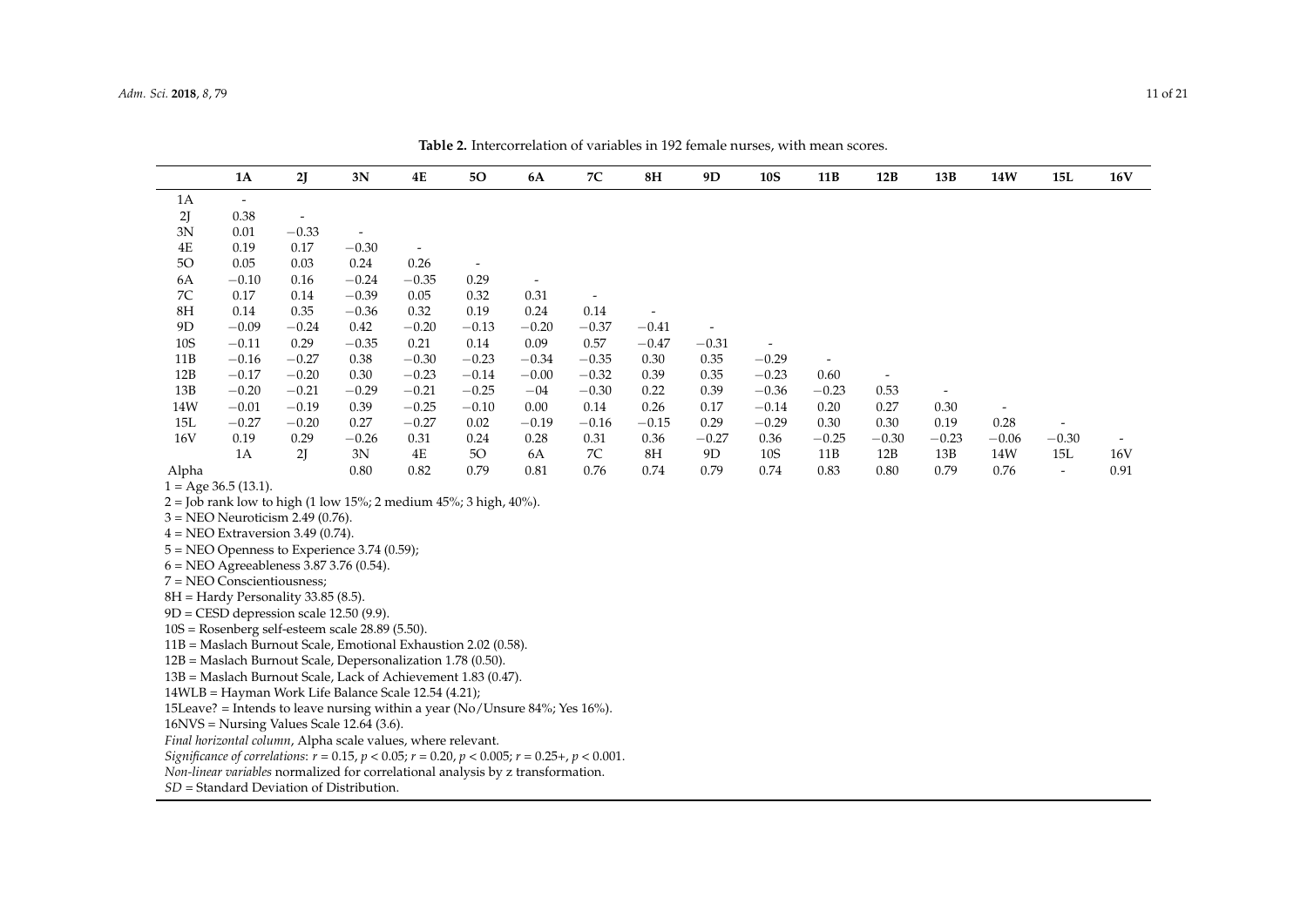<span id="page-10-0"></span>

|                                                                                                                                                                                                    | 1A                                                                                                                    | 2J                                                                                           | 3N      | 4E                       | 50                       | <b>6A</b>                | 7C      | 8H      | 9D             | <b>10S</b> | 11B                      | 12B                      | 13B                      | <b>14W</b>               | 15L                      | 16V  |
|----------------------------------------------------------------------------------------------------------------------------------------------------------------------------------------------------|-----------------------------------------------------------------------------------------------------------------------|----------------------------------------------------------------------------------------------|---------|--------------------------|--------------------------|--------------------------|---------|---------|----------------|------------|--------------------------|--------------------------|--------------------------|--------------------------|--------------------------|------|
| 1A                                                                                                                                                                                                 | $\overline{\phantom{a}}$                                                                                              |                                                                                              |         |                          |                          |                          |         |         |                |            |                          |                          |                          |                          |                          |      |
| 2J                                                                                                                                                                                                 | 0.38                                                                                                                  |                                                                                              |         |                          |                          |                          |         |         |                |            |                          |                          |                          |                          |                          |      |
| 3N                                                                                                                                                                                                 | 0.01                                                                                                                  | $-0.33$                                                                                      |         |                          |                          |                          |         |         |                |            |                          |                          |                          |                          |                          |      |
| 4E                                                                                                                                                                                                 | 0.19                                                                                                                  | 0.17                                                                                         | $-0.30$ | $\overline{\phantom{a}}$ |                          |                          |         |         |                |            |                          |                          |                          |                          |                          |      |
| 5O                                                                                                                                                                                                 | 0.05                                                                                                                  | 0.03                                                                                         | 0.24    | 0.26                     | $\overline{\phantom{a}}$ |                          |         |         |                |            |                          |                          |                          |                          |                          |      |
| 6A                                                                                                                                                                                                 | $-0.10$                                                                                                               | 0.16                                                                                         | $-0.24$ | $-0.35$                  | 0.29                     | $\overline{\phantom{a}}$ |         |         |                |            |                          |                          |                          |                          |                          |      |
| 7C                                                                                                                                                                                                 | 0.17                                                                                                                  | 0.14                                                                                         | $-0.39$ | 0.05                     | 0.32                     | 0.31                     |         |         |                |            |                          |                          |                          |                          |                          |      |
| 8H                                                                                                                                                                                                 | 0.14                                                                                                                  | 0.35                                                                                         | $-0.36$ | 0.32                     | 0.19                     | 0.24                     | 0.14    |         |                |            |                          |                          |                          |                          |                          |      |
| 9D                                                                                                                                                                                                 | $-0.09$                                                                                                               | $-0.24$                                                                                      | 0.42    | $-0.20$                  | $-0.13$                  | $-0.20$                  | $-0.37$ | $-0.41$ |                |            |                          |                          |                          |                          |                          |      |
| <b>10S</b>                                                                                                                                                                                         | $-0.11$                                                                                                               | 0.29                                                                                         | $-0.35$ | 0.21                     | 0.14                     | 0.09                     | 0.57    | $-0.47$ | $-0.31$        |            |                          |                          |                          |                          |                          |      |
| 11B                                                                                                                                                                                                | $-0.16$                                                                                                               | $-0.27$                                                                                      | 0.38    | $-0.30$                  | $-0.23$                  | $-0.34$                  | $-0.35$ | 0.30    | 0.35           | $-0.29$    | $\overline{\phantom{a}}$ |                          |                          |                          |                          |      |
| 12B                                                                                                                                                                                                | $-0.17$                                                                                                               | $-0.20$                                                                                      | 0.30    | $-0.23$                  | $-0.14$                  | $-0.00$                  | $-0.32$ | 0.39    | 0.35           | $-0.23$    | 0.60                     | $\overline{\phantom{a}}$ |                          |                          |                          |      |
| 13B                                                                                                                                                                                                | $-0.20$                                                                                                               | $-0.21$                                                                                      | $-0.29$ | $-0.21$                  | $-0.25$                  | $-04$                    | $-0.30$ | 0.22    | 0.39           | $-0.36$    | $-0.23$                  | 0.53                     | $\overline{\phantom{a}}$ |                          |                          |      |
| 14W                                                                                                                                                                                                | $-0.01$                                                                                                               | $-0.19$                                                                                      | 0.39    | $-0.25$                  | $-0.10$                  | 0.00                     | 0.14    | 0.26    | 0.17           | $-0.14$    | 0.20                     | 0.27                     | 0.30                     | $\overline{\phantom{a}}$ |                          |      |
| 15L                                                                                                                                                                                                | $-0.27$                                                                                                               | $-0.20$                                                                                      | 0.27    | $-0.27$                  | $0.02\,$                 | $-0.19$                  | $-0.16$ | $-0.15$ | 0.29           | $-0.29$    | 0.30                     | 0.30                     | 0.19                     | 0.28                     |                          |      |
| 16V                                                                                                                                                                                                | 0.19                                                                                                                  | 0.29                                                                                         | $-0.26$ | 0.31                     | 0.24                     | 0.28                     | 0.31    | 0.36    | $-0.27$        | 0.36       | $-0.25$                  | $-0.30$                  | $-0.23$                  | $-0.06$                  | $-0.30$                  |      |
|                                                                                                                                                                                                    | 1A                                                                                                                    | 2J                                                                                           | 3N      | 4E                       | 5O                       | 6A                       | 7C      | 8H      | 9 <sub>D</sub> | <b>10S</b> | 11B                      | 12B                      | 13B                      | 14W                      | 15L                      | 16V  |
| Alpha                                                                                                                                                                                              |                                                                                                                       |                                                                                              | 0.80    | 0.82                     | 0.79                     | 0.81                     | 0.76    | 0.74    | 0.79           | 0.74       | 0.83                     | 0.80                     | 0.79                     | 0.76                     | $\overline{\phantom{a}}$ | 0.91 |
|                                                                                                                                                                                                    | $1 = Age 36.5 (13.1).$                                                                                                |                                                                                              |         |                          |                          |                          |         |         |                |            |                          |                          |                          |                          |                          |      |
|                                                                                                                                                                                                    |                                                                                                                       | 2 = Job rank low to high (1 low 15%; 2 medium $45\%$ ; 3 high, $40\%$ ).                     |         |                          |                          |                          |         |         |                |            |                          |                          |                          |                          |                          |      |
|                                                                                                                                                                                                    | $3 =$ NEO Neuroticism 2.49 (0.76).                                                                                    |                                                                                              |         |                          |                          |                          |         |         |                |            |                          |                          |                          |                          |                          |      |
|                                                                                                                                                                                                    |                                                                                                                       | $4 =$ NEO Extraversion 3.49 (0.74).                                                          |         |                          |                          |                          |         |         |                |            |                          |                          |                          |                          |                          |      |
|                                                                                                                                                                                                    |                                                                                                                       | $5 =$ NEO Openness to Experience 3.74 (0.59);                                                |         |                          |                          |                          |         |         |                |            |                          |                          |                          |                          |                          |      |
|                                                                                                                                                                                                    |                                                                                                                       | $6$ = NEO Agreeableness 3.87 3.76 (0.54).                                                    |         |                          |                          |                          |         |         |                |            |                          |                          |                          |                          |                          |      |
|                                                                                                                                                                                                    | $7 =$ NEO Conscientiousness;                                                                                          |                                                                                              |         |                          |                          |                          |         |         |                |            |                          |                          |                          |                          |                          |      |
|                                                                                                                                                                                                    |                                                                                                                       | 8H = Hardy Personality 33.85 (8.5).                                                          |         |                          |                          |                          |         |         |                |            |                          |                          |                          |                          |                          |      |
|                                                                                                                                                                                                    |                                                                                                                       | $9D = CESD$ depression scale 12.50 (9.9).<br>10S = Rosenberg self-esteem scale 28.89 (5.50). |         |                          |                          |                          |         |         |                |            |                          |                          |                          |                          |                          |      |
|                                                                                                                                                                                                    |                                                                                                                       | 11B = Maslach Burnout Scale, Emotional Exhaustion 2.02 (0.58).                               |         |                          |                          |                          |         |         |                |            |                          |                          |                          |                          |                          |      |
|                                                                                                                                                                                                    |                                                                                                                       | 12B = Maslach Burnout Scale, Depersonalization 1.78 (0.50).                                  |         |                          |                          |                          |         |         |                |            |                          |                          |                          |                          |                          |      |
|                                                                                                                                                                                                    |                                                                                                                       |                                                                                              |         |                          |                          |                          |         |         |                |            |                          |                          |                          |                          |                          |      |
|                                                                                                                                                                                                    | 13B = Maslach Burnout Scale, Lack of Achievement 1.83 (0.47).<br>14WLB = Hayman Work Life Balance Scale 12.54 (4.21); |                                                                                              |         |                          |                          |                          |         |         |                |            |                          |                          |                          |                          |                          |      |
|                                                                                                                                                                                                    | 15Leave? = Intends to leave nursing within a year (No/Unsure $84\%$ ; Yes $16\%$ ).                                   |                                                                                              |         |                          |                          |                          |         |         |                |            |                          |                          |                          |                          |                          |      |
|                                                                                                                                                                                                    | $16NVS = Nursing Values Scale 12.64 (3.6).$                                                                           |                                                                                              |         |                          |                          |                          |         |         |                |            |                          |                          |                          |                          |                          |      |
|                                                                                                                                                                                                    | Final horizontal column, Alpha scale values, where relevant.                                                          |                                                                                              |         |                          |                          |                          |         |         |                |            |                          |                          |                          |                          |                          |      |
|                                                                                                                                                                                                    |                                                                                                                       |                                                                                              |         |                          |                          |                          |         |         |                |            |                          |                          |                          |                          |                          |      |
| Significance of correlations: $r = 0.15$ , $p < 0.05$ ; $r = 0.20$ , $p < 0.005$ ; $r = 0.25 +$ , $p < 0.001$ .<br>Non-linear variables normalized for correlational analysis by z transformation. |                                                                                                                       |                                                                                              |         |                          |                          |                          |         |         |                |            |                          |                          |                          |                          |                          |      |
|                                                                                                                                                                                                    |                                                                                                                       | $SD =$ Standard Deviation of Distribution.                                                   |         |                          |                          |                          |         |         |                |            |                          |                          |                          |                          |                          |      |

**Table 2.** Intercorrelation of variables in 192 female nurses, with mean scores.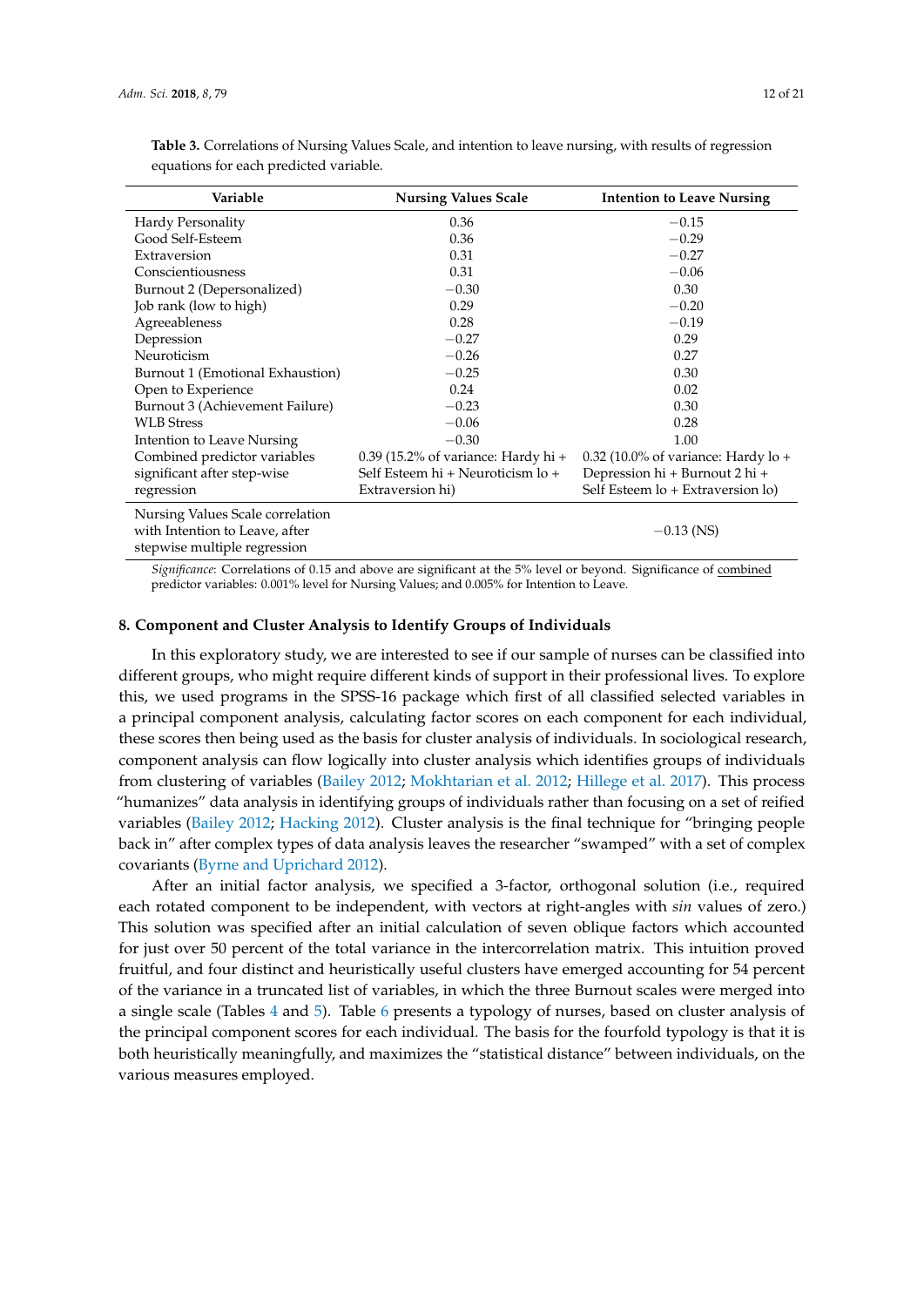| Variable                                                                                           | <b>Nursing Values Scale</b>           | <b>Intention to Leave Nursing</b>     |
|----------------------------------------------------------------------------------------------------|---------------------------------------|---------------------------------------|
| Hardy Personality                                                                                  | 0.36                                  | $-0.15$                               |
| Good Self-Esteem                                                                                   | 0.36                                  | $-0.29$                               |
| Extraversion                                                                                       | 0.31                                  | $-0.27$                               |
| Conscientiousness                                                                                  | 0.31                                  | $-0.06$                               |
| Burnout 2 (Depersonalized)                                                                         | $-0.30$                               | 0.30                                  |
| Job rank (low to high)                                                                             | 0.29                                  | $-0.20$                               |
| Agreeableness                                                                                      | 0.28                                  | $-0.19$                               |
| Depression                                                                                         | $-0.27$                               | 0.29                                  |
| Neuroticism                                                                                        | $-0.26$                               | 0.27                                  |
| Burnout 1 (Emotional Exhaustion)                                                                   | $-0.25$                               | 0.30                                  |
| Open to Experience                                                                                 | 0.24                                  | 0.02                                  |
| Burnout 3 (Achievement Failure)                                                                    | $-0.23$                               | 0.30                                  |
| <b>WLB</b> Stress                                                                                  | $-0.06$                               | 0.28                                  |
| Intention to Leave Nursing                                                                         | $-0.30$                               | 1.00                                  |
| Combined predictor variables                                                                       | $0.39$ (15.2% of variance: Hardy hi + | $0.32$ (10.0% of variance: Hardy lo + |
| significant after step-wise                                                                        | Self Esteem hi + Neuroticism lo +     | Depression hi + Burnout 2 hi +        |
| regression                                                                                         | Extraversion hi)                      | Self Esteem lo + Extraversion lo)     |
| Nursing Values Scale correlation<br>with Intention to Leave, after<br>stepwise multiple regression |                                       | $-0.13$ (NS)                          |

<span id="page-11-0"></span>**Table 3.** Correlations of Nursing Values Scale, and intention to leave nursing, with results of regression equations for each predicted variable.

*Significance*: Correlations of 0.15 and above are significant at the 5% level or beyond. Significance of combined predictor variables: 0.001% level for Nursing Values; and 0.005% for Intention to Leave.

#### **8. Component and Cluster Analysis to Identify Groups of Individuals**

In this exploratory study, we are interested to see if our sample of nurses can be classified into different groups, who might require different kinds of support in their professional lives. To explore this, we used programs in the SPSS-16 package which first of all classified selected variables in a principal component analysis, calculating factor scores on each component for each individual, these scores then being used as the basis for cluster analysis of individuals. In sociological research, component analysis can flow logically into cluster analysis which identifies groups of individuals from clustering of variables [\(Bailey](#page-16-11) [2012;](#page-16-11) [Mokhtarian et al.](#page-19-18) [2012;](#page-19-18) [Hillege et al.](#page-18-16) [2017\)](#page-18-16). This process "humanizes" data analysis in identifying groups of individuals rather than focusing on a set of reified variables [\(Bailey](#page-16-11) [2012;](#page-16-11) [Hacking](#page-18-17) [2012\)](#page-18-17). Cluster analysis is the final technique for "bringing people back in" after complex types of data analysis leaves the researcher "swamped" with a set of complex covariants [\(Byrne and Uprichard](#page-17-19) [2012\)](#page-17-19).

After an initial factor analysis, we specified a 3-factor, orthogonal solution (i.e., required each rotated component to be independent, with vectors at right-angles with *sin* values of zero.) This solution was specified after an initial calculation of seven oblique factors which accounted for just over 50 percent of the total variance in the intercorrelation matrix. This intuition proved fruitful, and four distinct and heuristically useful clusters have emerged accounting for 54 percent of the variance in a truncated list of variables, in which the three Burnout scales were merged into a single scale (Tables [4](#page-12-0) and [5\)](#page-12-1). Table [6](#page-13-0) presents a typology of nurses, based on cluster analysis of the principal component scores for each individual. The basis for the fourfold typology is that it is both heuristically meaningfully, and maximizes the "statistical distance" between individuals, on the various measures employed.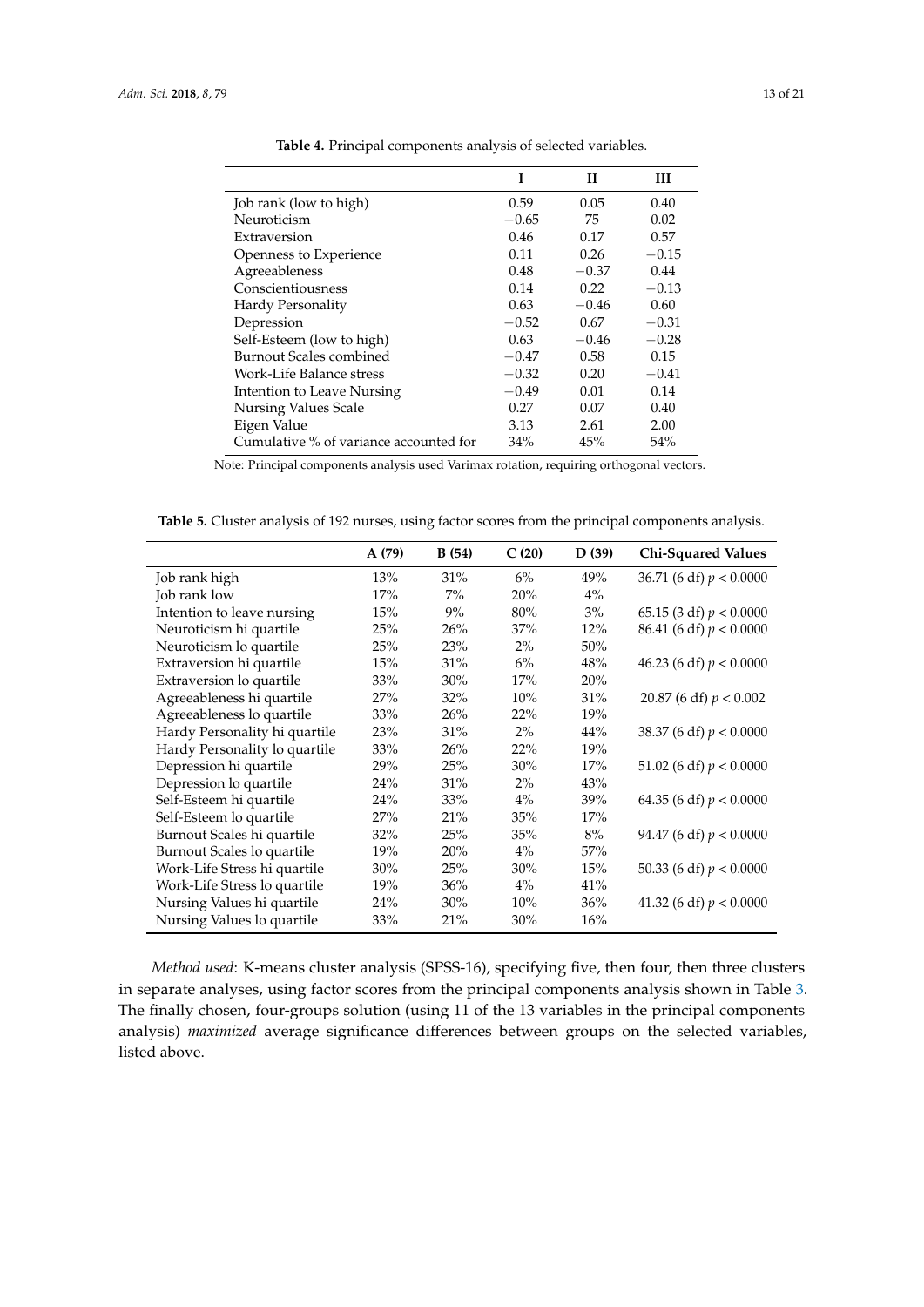<span id="page-12-0"></span>

|                                        | I       | $\mathbf{I}$ | Ш       |
|----------------------------------------|---------|--------------|---------|
| Job rank (low to high)                 | 0.59    | 0.05         | 0.40    |
| Neuroticism                            | $-0.65$ | 75           | 0.02    |
| Extraversion                           | 0.46    | 0.17         | 0.57    |
| Openness to Experience                 | 0.11    | 0.26         | $-0.15$ |
| Agreeableness                          | 0.48    | $-0.37$      | 0.44    |
| Conscientiousness                      | 0.14    | 0.22         | $-0.13$ |
| Hardy Personality                      | 0.63    | $-0.46$      | 0.60    |
| Depression                             | $-0.52$ | 0.67         | $-0.31$ |
| Self-Esteem (low to high)              | 0.63    | $-0.46$      | $-0.28$ |
| <b>Burnout Scales combined</b>         | $-0.47$ | 0.58         | 0.15    |
| Work-Life Balance stress               | $-0.32$ | 0.20         | $-0.41$ |
| Intention to Leave Nursing             | $-0.49$ | 0.01         | 0.14    |
| <b>Nursing Values Scale</b>            | 0.27    | 0.07         | 0.40    |
| Eigen Value                            | 3.13    | 2.61         | 2.00    |
| Cumulative % of variance accounted for | 34%     | 45%          | 54%     |

**Table 4.** Principal components analysis of selected variables.

Note: Principal components analysis used Varimax rotation, requiring orthogonal vectors.

<span id="page-12-1"></span>**Table 5.** Cluster analysis of 192 nurses, using factor scores from the principal components analysis.

|                               | A (79) | B(54)  | C(20)  | D(39) | <b>Chi-Squared Values</b> |
|-------------------------------|--------|--------|--------|-------|---------------------------|
| Job rank high                 | 13%    | 31%    | $6\%$  | 49%   | 36.71 (6 df) $p < 0.0000$ |
| Job rank low                  | 17%    | $7\%$  | 20%    | $4\%$ |                           |
| Intention to leave nursing    | 15%    | 9%     | 80%    | 3%    | 65.15 (3 df) $p < 0.0000$ |
| Neuroticism hi quartile       | 25%    | 26%    | 37%    | 12%   | 86.41 (6 df) $p < 0.0000$ |
| Neuroticism lo quartile       | 25%    | 23%    | $2\%$  | 50%   |                           |
| Extraversion hi quartile      | 15%    | 31%    | $6\%$  | 48%   | 46.23 (6 df) $p < 0.0000$ |
| Extraversion lo quartile      | 33%    | $30\%$ | 17%    | 20%   |                           |
| Agreeableness hi quartile     | 27%    | 32%    | $10\%$ | 31%   | 20.87 (6 df) $p < 0.002$  |
| Agreeableness lo quartile     | 33%    | 26%    | 22%    | 19%   |                           |
| Hardy Personality hi quartile | 23%    | 31%    | 2%     | 44%   | 38.37 (6 df) $p < 0.0000$ |
| Hardy Personality lo quartile | 33%    | 26%    | 22%    | 19%   |                           |
| Depression hi quartile        | 29%    | 25%    | 30%    | 17%   | 51.02 (6 df) $p < 0.0000$ |
| Depression lo quartile        | 24%    | 31%    | $2\%$  | 43%   |                           |
| Self-Esteem hi quartile       | 24%    | 33%    | $4\%$  | 39%   | 64.35 (6 df) $p < 0.0000$ |
| Self-Esteem lo quartile       | 27%    | 21%    | 35%    | 17%   |                           |
| Burnout Scales hi quartile    | $32\%$ | 25%    | 35%    | 8%    | 94.47 (6 df) $p < 0.0000$ |
| Burnout Scales lo quartile    | 19%    | 20%    | $4\%$  | 57%   |                           |
| Work-Life Stress hi quartile  | 30%    | 25%    | 30%    | 15%   | 50.33 (6 df) $p < 0.0000$ |
| Work-Life Stress lo quartile  | 19%    | 36%    | $4\%$  | 41%   |                           |
| Nursing Values hi quartile    | 24%    | $30\%$ | 10%    | 36%   | 41.32 (6 df) $p < 0.0000$ |
| Nursing Values lo quartile    | 33%    | 21%    | 30%    | 16%   |                           |

*Method used*: K-means cluster analysis (SPSS-16), specifying five, then four, then three clusters in separate analyses, using factor scores from the principal components analysis shown in Table [3.](#page-11-0) The finally chosen, four-groups solution (using 11 of the 13 variables in the principal components analysis) *maximized* average significance differences between groups on the selected variables, listed above.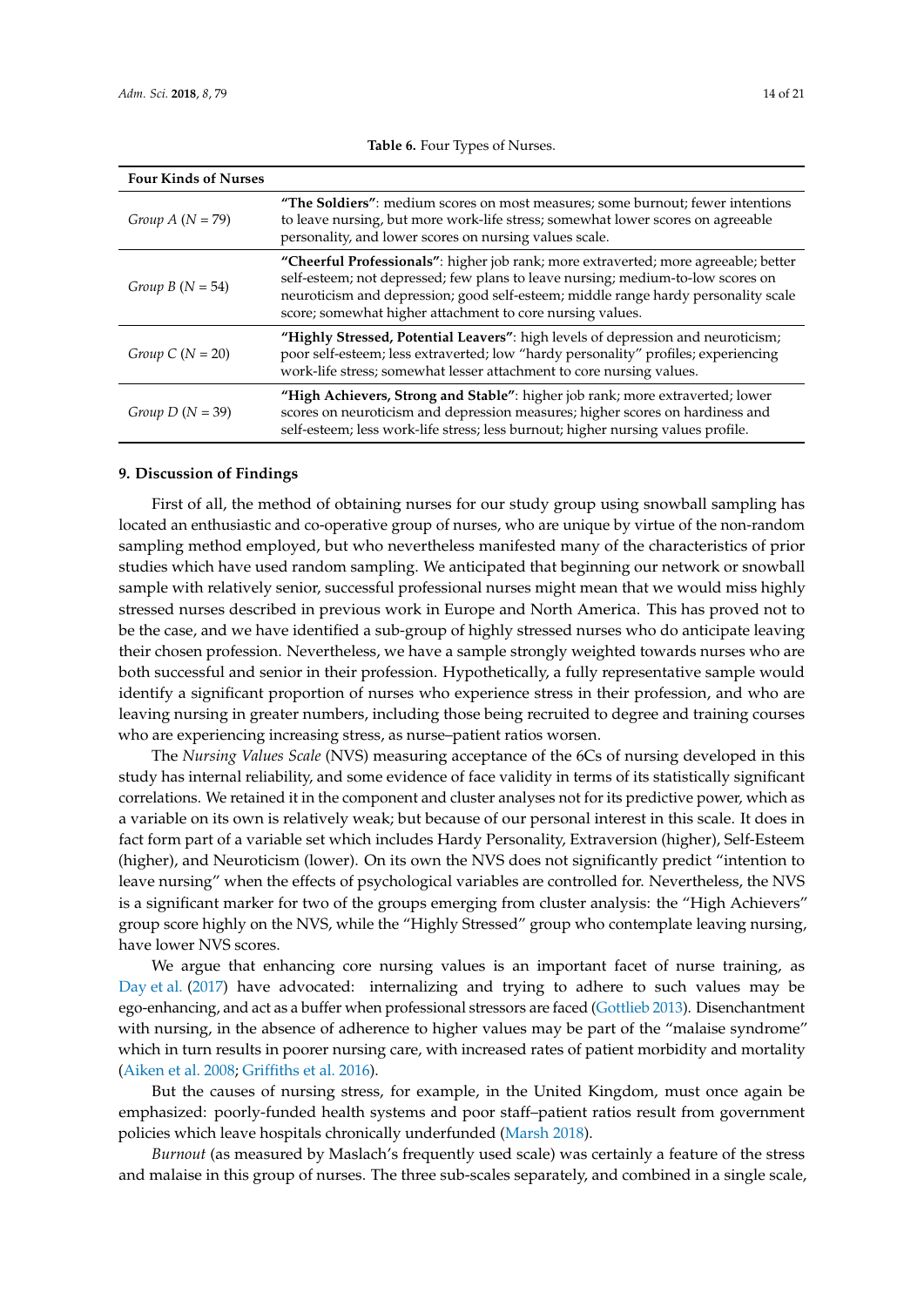<span id="page-13-0"></span>

| <b>Four Kinds of Nurses</b> |                                                                                                                                                                                                                                                                                                                           |
|-----------------------------|---------------------------------------------------------------------------------------------------------------------------------------------------------------------------------------------------------------------------------------------------------------------------------------------------------------------------|
| Group $A (N = 79)$          | "The Soldiers": medium scores on most measures; some burnout; fewer intentions<br>to leave nursing, but more work-life stress; somewhat lower scores on agreeable<br>personality, and lower scores on nursing values scale.                                                                                               |
| Group B $(N = 54)$          | "Cheerful Professionals": higher job rank; more extraverted; more agreeable; better<br>self-esteem; not depressed; few plans to leave nursing; medium-to-low scores on<br>neuroticism and depression; good self-esteem; middle range hardy personality scale<br>score; somewhat higher attachment to core nursing values. |
| Group C $(N = 20)$          | "Highly Stressed, Potential Leavers": high levels of depression and neuroticism;<br>poor self-esteem; less extraverted; low "hardy personality" profiles; experiencing<br>work-life stress; somewhat lesser attachment to core nursing values.                                                                            |
| Group D $(N = 39)$          | "High Achievers, Strong and Stable": higher job rank; more extraverted; lower<br>scores on neuroticism and depression measures; higher scores on hardiness and<br>self-esteem; less work-life stress; less burnout; higher nursing values profile.                                                                        |

**Table 6.** Four Types of Nurses.

# **9. Discussion of Findings**

First of all, the method of obtaining nurses for our study group using snowball sampling has located an enthusiastic and co-operative group of nurses, who are unique by virtue of the non-random sampling method employed, but who nevertheless manifested many of the characteristics of prior studies which have used random sampling. We anticipated that beginning our network or snowball sample with relatively senior, successful professional nurses might mean that we would miss highly stressed nurses described in previous work in Europe and North America. This has proved not to be the case, and we have identified a sub-group of highly stressed nurses who do anticipate leaving their chosen profession. Nevertheless, we have a sample strongly weighted towards nurses who are both successful and senior in their profession. Hypothetically, a fully representative sample would identify a significant proportion of nurses who experience stress in their profession, and who are leaving nursing in greater numbers, including those being recruited to degree and training courses who are experiencing increasing stress, as nurse–patient ratios worsen.

The *Nursing Values Scale* (NVS) measuring acceptance of the 6Cs of nursing developed in this study has internal reliability, and some evidence of face validity in terms of its statistically significant correlations. We retained it in the component and cluster analyses not for its predictive power, which as a variable on its own is relatively weak; but because of our personal interest in this scale. It does in fact form part of a variable set which includes Hardy Personality, Extraversion (higher), Self-Esteem (higher), and Neuroticism (lower). On its own the NVS does not significantly predict "intention to leave nursing" when the effects of psychological variables are controlled for. Nevertheless, the NVS is a significant marker for two of the groups emerging from cluster analysis: the "High Achievers" group score highly on the NVS, while the "Highly Stressed" group who contemplate leaving nursing, have lower NVS scores.

We argue that enhancing core nursing values is an important facet of nurse training, as [Day et al.](#page-17-4) [\(2017\)](#page-17-4) have advocated: internalizing and trying to adhere to such values may be ego-enhancing, and act as a buffer when professional stressors are faced [\(Gottlieb](#page-18-1) [2013\)](#page-18-1). Disenchantment with nursing, in the absence of adherence to higher values may be part of the "malaise syndrome" which in turn results in poorer nursing care, with increased rates of patient morbidity and mortality [\(Aiken et al.](#page-16-7) [2008;](#page-16-7) [Griffiths et al.](#page-18-2) [2016\)](#page-18-2).

But the causes of nursing stress, for example, in the United Kingdom, must once again be emphasized: poorly-funded health systems and poor staff–patient ratios result from government policies which leave hospitals chronically underfunded [\(Marsh](#page-19-7) [2018\)](#page-19-7).

*Burnout* (as measured by Maslach's frequently used scale) was certainly a feature of the stress and malaise in this group of nurses. The three sub-scales separately, and combined in a single scale,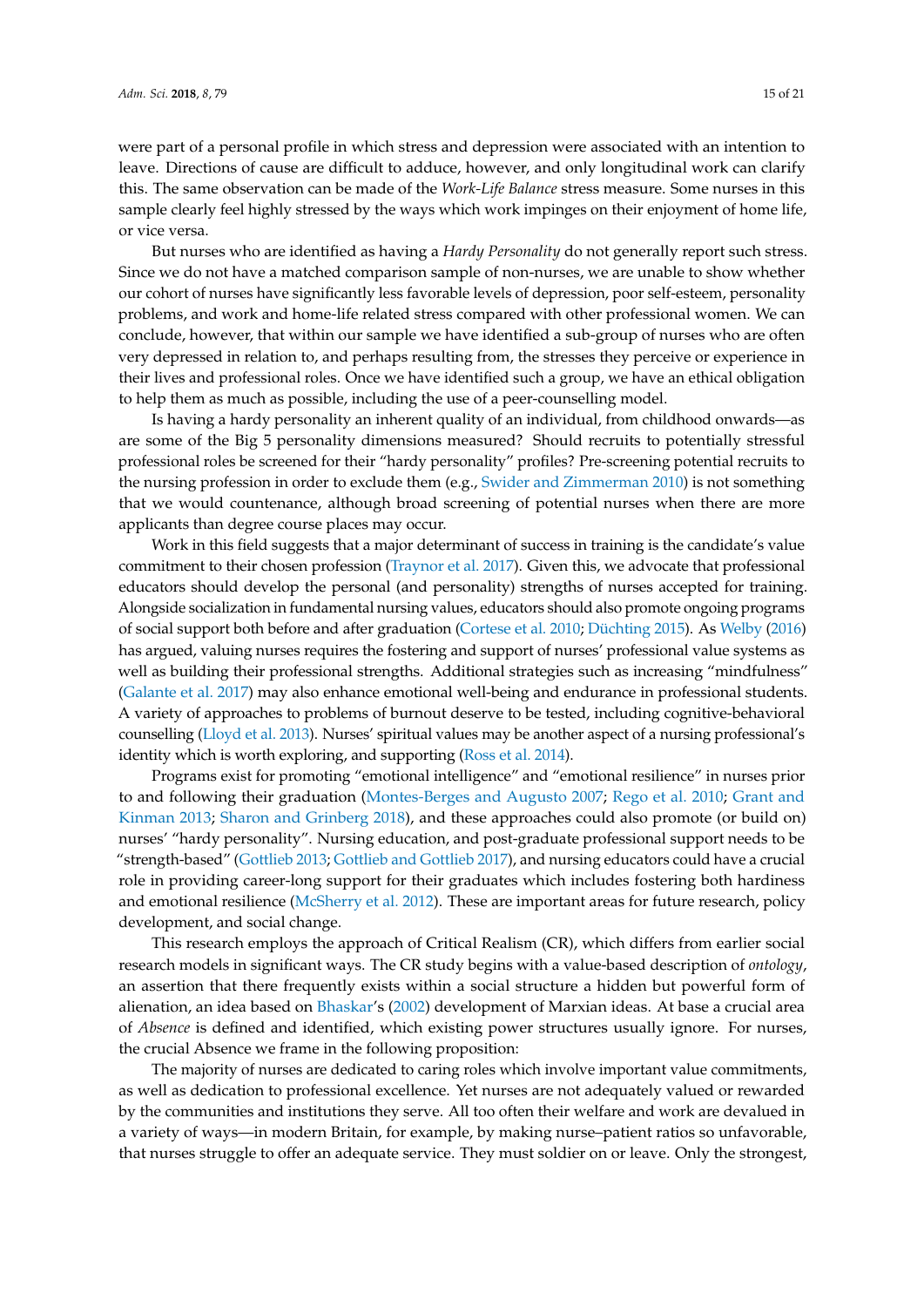were part of a personal profile in which stress and depression were associated with an intention to leave. Directions of cause are difficult to adduce, however, and only longitudinal work can clarify this. The same observation can be made of the *Work-Life Balance* stress measure. Some nurses in this sample clearly feel highly stressed by the ways which work impinges on their enjoyment of home life, or vice versa.

But nurses who are identified as having a *Hardy Personality* do not generally report such stress. Since we do not have a matched comparison sample of non-nurses, we are unable to show whether our cohort of nurses have significantly less favorable levels of depression, poor self-esteem, personality problems, and work and home-life related stress compared with other professional women. We can conclude, however, that within our sample we have identified a sub-group of nurses who are often very depressed in relation to, and perhaps resulting from, the stresses they perceive or experience in their lives and professional roles. Once we have identified such a group, we have an ethical obligation to help them as much as possible, including the use of a peer-counselling model.

Is having a hardy personality an inherent quality of an individual, from childhood onwards—as are some of the Big 5 personality dimensions measured? Should recruits to potentially stressful professional roles be screened for their "hardy personality" profiles? Pre-screening potential recruits to the nursing profession in order to exclude them (e.g., [Swider and Zimmerman](#page-20-17) [2010\)](#page-20-17) is not something that we would countenance, although broad screening of potential nurses when there are more applicants than degree course places may occur.

Work in this field suggests that a major determinant of success in training is the candidate's value commitment to their chosen profession [\(Traynor et al.](#page-20-18) [2017\)](#page-20-18). Given this, we advocate that professional educators should develop the personal (and personality) strengths of nurses accepted for training. Alongside socialization in fundamental nursing values, educators should also promote ongoing programs of social support both before and after graduation [\(Cortese et al.](#page-17-12) [2010;](#page-17-12) [Düchting](#page-17-13) [2015\)](#page-17-13). As [Welby](#page-20-19) [\(2016\)](#page-20-19) has argued, valuing nurses requires the fostering and support of nurses' professional value systems as well as building their professional strengths. Additional strategies such as increasing "mindfulness" [\(Galante et al.](#page-18-18) [2017\)](#page-18-18) may also enhance emotional well-being and endurance in professional students. A variety of approaches to problems of burnout deserve to be tested, including cognitive-behavioral counselling [\(Lloyd et al.](#page-19-19) [2013\)](#page-19-19). Nurses' spiritual values may be another aspect of a nursing professional's identity which is worth exploring, and supporting [\(Ross et al.](#page-19-20) [2014\)](#page-19-20).

Programs exist for promoting "emotional intelligence" and "emotional resilience" in nurses prior to and following their graduation [\(Montes-Berges and Augusto](#page-19-21) [2007;](#page-19-21) [Rego et al.](#page-19-22) [2010;](#page-19-22) [Grant and](#page-18-19) [Kinman](#page-18-19) [2013;](#page-18-19) [Sharon and Grinberg](#page-20-20) [2018\)](#page-20-20), and these approaches could also promote (or build on) nurses' "hardy personality". Nursing education, and post-graduate professional support needs to be "strength-based" [\(Gottlieb](#page-18-1) [2013;](#page-18-1) [Gottlieb and Gottlieb](#page-18-0) [2017\)](#page-18-0), and nursing educators could have a crucial role in providing career-long support for their graduates which includes fostering both hardiness and emotional resilience [\(McSherry et al.](#page-19-4) [2012\)](#page-19-4). These are important areas for future research, policy development, and social change.

This research employs the approach of Critical Realism (CR), which differs from earlier social research models in significant ways. The CR study begins with a value-based description of *ontology*, an assertion that there frequently exists within a social structure a hidden but powerful form of alienation, an idea based on [Bhaskar'](#page-17-0)s [\(2002\)](#page-17-0) development of Marxian ideas. At base a crucial area of *Absence* is defined and identified, which existing power structures usually ignore. For nurses, the crucial Absence we frame in the following proposition:

The majority of nurses are dedicated to caring roles which involve important value commitments, as well as dedication to professional excellence. Yet nurses are not adequately valued or rewarded by the communities and institutions they serve. All too often their welfare and work are devalued in a variety of ways—in modern Britain, for example, by making nurse–patient ratios so unfavorable, that nurses struggle to offer an adequate service. They must soldier on or leave. Only the strongest,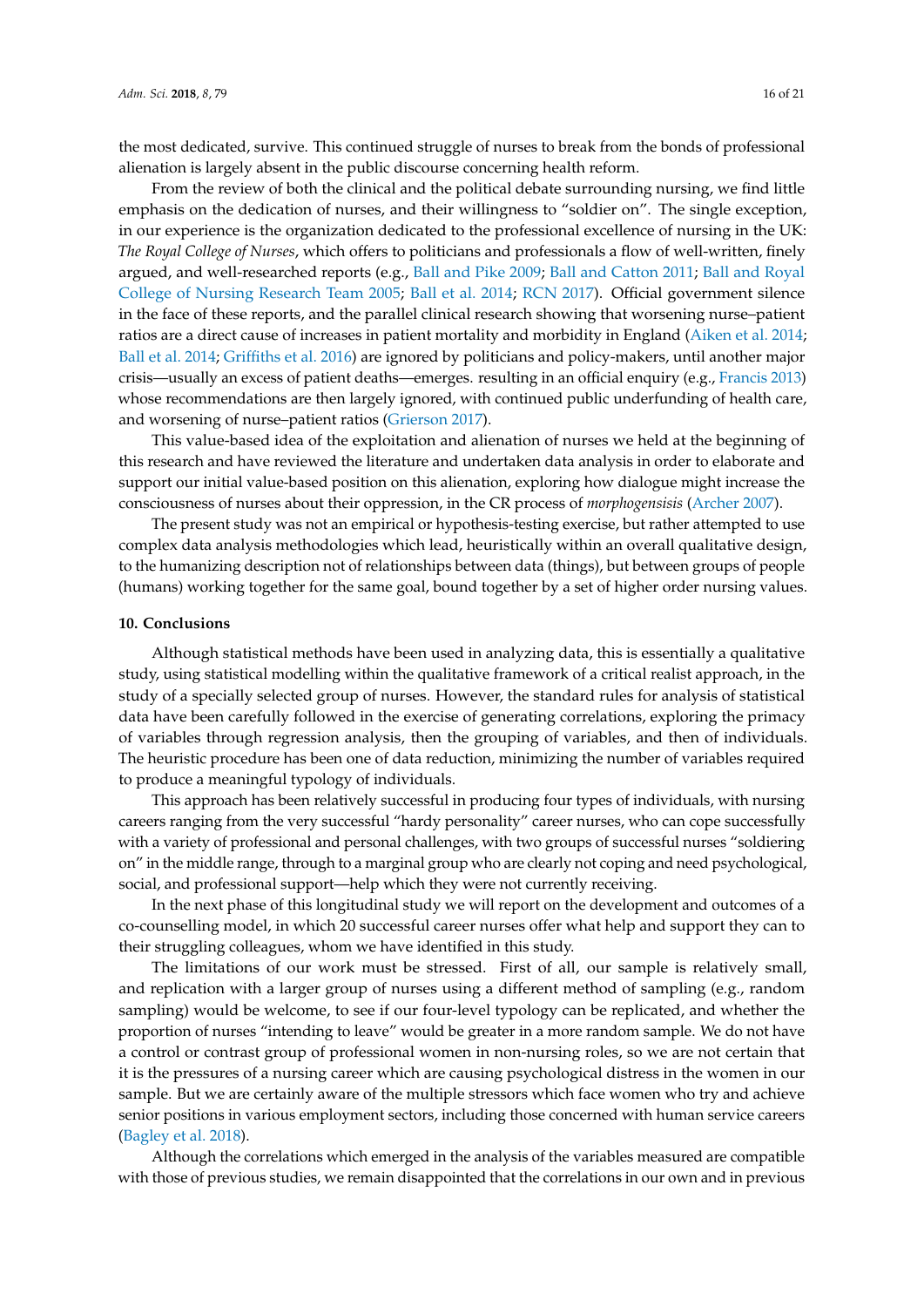the most dedicated, survive. This continued struggle of nurses to break from the bonds of professional alienation is largely absent in the public discourse concerning health reform.

From the review of both the clinical and the political debate surrounding nursing, we find little emphasis on the dedication of nurses, and their willingness to "soldier on". The single exception, in our experience is the organization dedicated to the professional excellence of nursing in the UK: *The Royal College of Nurses*, which offers to politicians and professionals a flow of well-written, finely argued, and well-researched reports (e.g., [Ball and Pike](#page-17-6) [2009;](#page-17-6) [Ball and Catton](#page-16-12) [2011;](#page-16-12) [Ball and Royal](#page-17-20) [College of Nursing Research Team](#page-17-20) [2005;](#page-17-20) [Ball et al.](#page-17-21) [2014;](#page-17-21) [RCN](#page-19-6) [2017\)](#page-19-6). Official government silence in the face of these reports, and the parallel clinical research showing that worsening nurse–patient ratios are a direct cause of increases in patient mortality and morbidity in England [\(Aiken et al.](#page-16-8) [2014;](#page-16-8) [Ball et al.](#page-17-21) [2014;](#page-17-21) [Griffiths et al.](#page-18-2) [2016\)](#page-18-2) are ignored by politicians and policy-makers, until another major crisis—usually an excess of patient deaths—emerges. resulting in an official enquiry (e.g., [Francis](#page-17-5) [2013\)](#page-17-5) whose recommendations are then largely ignored, with continued public underfunding of health care, and worsening of nurse–patient ratios [\(Grierson](#page-18-20) [2017\)](#page-18-20).

This value-based idea of the exploitation and alienation of nurses we held at the beginning of this research and have reviewed the literature and undertaken data analysis in order to elaborate and support our initial value-based position on this alienation, exploring how dialogue might increase the consciousness of nurses about their oppression, in the CR process of *morphogensisis* [\(Archer](#page-16-1) [2007\)](#page-16-1).

The present study was not an empirical or hypothesis-testing exercise, but rather attempted to use complex data analysis methodologies which lead, heuristically within an overall qualitative design, to the humanizing description not of relationships between data (things), but between groups of people (humans) working together for the same goal, bound together by a set of higher order nursing values.

#### **10. Conclusions**

Although statistical methods have been used in analyzing data, this is essentially a qualitative study, using statistical modelling within the qualitative framework of a critical realist approach, in the study of a specially selected group of nurses. However, the standard rules for analysis of statistical data have been carefully followed in the exercise of generating correlations, exploring the primacy of variables through regression analysis, then the grouping of variables, and then of individuals. The heuristic procedure has been one of data reduction, minimizing the number of variables required to produce a meaningful typology of individuals.

This approach has been relatively successful in producing four types of individuals, with nursing careers ranging from the very successful "hardy personality" career nurses, who can cope successfully with a variety of professional and personal challenges, with two groups of successful nurses "soldiering on" in the middle range, through to a marginal group who are clearly not coping and need psychological, social, and professional support—help which they were not currently receiving.

In the next phase of this longitudinal study we will report on the development and outcomes of a co-counselling model, in which 20 successful career nurses offer what help and support they can to their struggling colleagues, whom we have identified in this study.

The limitations of our work must be stressed. First of all, our sample is relatively small, and replication with a larger group of nurses using a different method of sampling (e.g., random sampling) would be welcome, to see if our four-level typology can be replicated, and whether the proportion of nurses "intending to leave" would be greater in a more random sample. We do not have a control or contrast group of professional women in non-nursing roles, so we are not certain that it is the pressures of a nursing career which are causing psychological distress in the women in our sample. But we are certainly aware of the multiple stressors which face women who try and achieve senior positions in various employment sectors, including those concerned with human service careers [\(Bagley et al.](#page-16-13) [2018\)](#page-16-13).

Although the correlations which emerged in the analysis of the variables measured are compatible with those of previous studies, we remain disappointed that the correlations in our own and in previous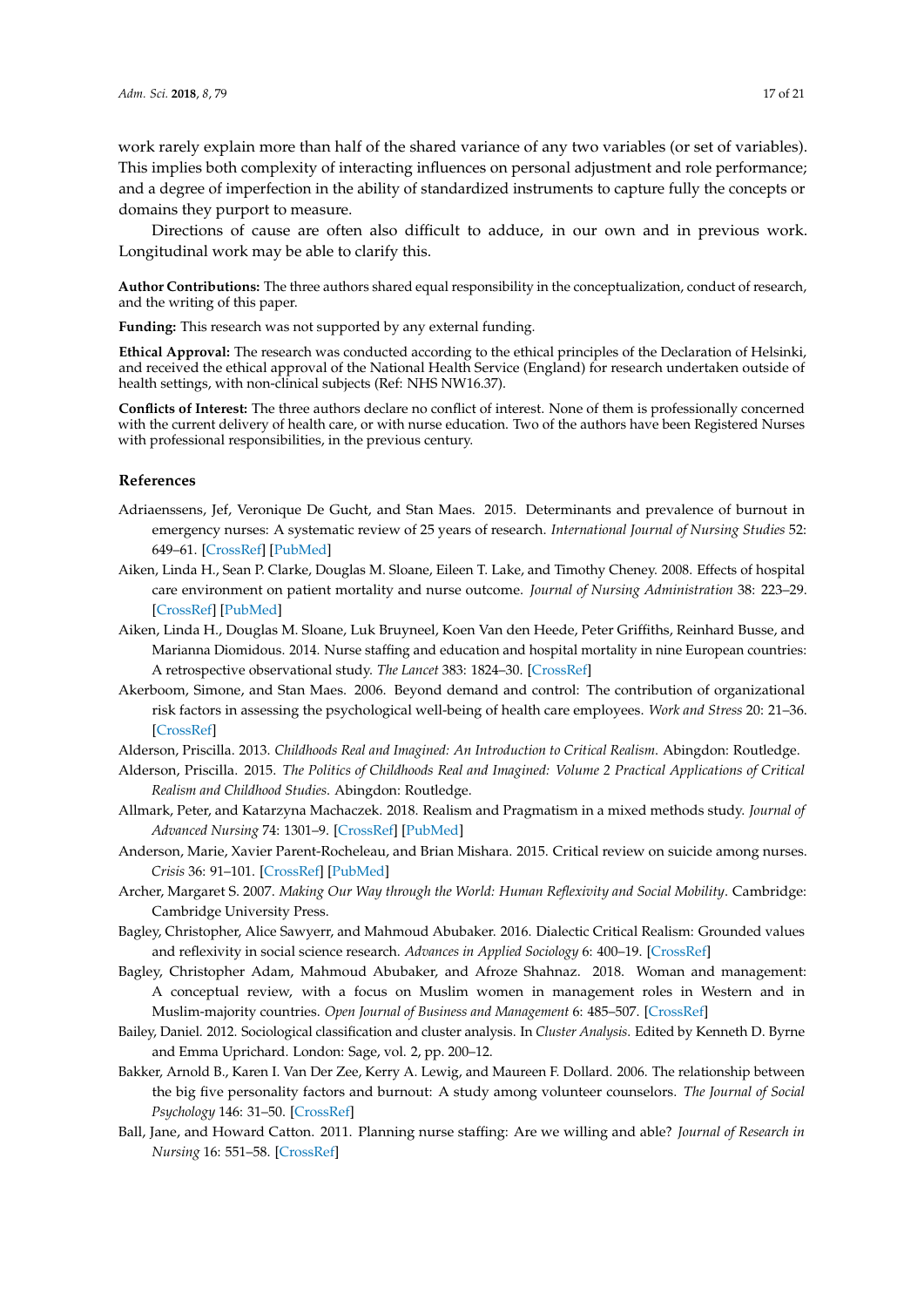work rarely explain more than half of the shared variance of any two variables (or set of variables). This implies both complexity of interacting influences on personal adjustment and role performance; and a degree of imperfection in the ability of standardized instruments to capture fully the concepts or domains they purport to measure.

Directions of cause are often also difficult to adduce, in our own and in previous work. Longitudinal work may be able to clarify this.

**Author Contributions:** The three authors shared equal responsibility in the conceptualization, conduct of research, and the writing of this paper.

**Funding:** This research was not supported by any external funding.

**Ethical Approval:** The research was conducted according to the ethical principles of the Declaration of Helsinki, and received the ethical approval of the National Health Service (England) for research undertaken outside of health settings, with non-clinical subjects (Ref: NHS NW16.37).

**Conflicts of Interest:** The three authors declare no conflict of interest. None of them is professionally concerned with the current delivery of health care, or with nurse education. Two of the authors have been Registered Nurses with professional responsibilities, in the previous century.

#### **References**

- <span id="page-16-5"></span>Adriaenssens, Jef, Veronique De Gucht, and Stan Maes. 2015. Determinants and prevalence of burnout in emergency nurses: A systematic review of 25 years of research. *International Journal of Nursing Studies* 52: 649–61. [\[CrossRef\]](http://dx.doi.org/10.1016/j.ijnurstu.2014.11.004) [\[PubMed\]](http://www.ncbi.nlm.nih.gov/pubmed/25468279)
- <span id="page-16-7"></span>Aiken, Linda H., Sean P. Clarke, Douglas M. Sloane, Eileen T. Lake, and Timothy Cheney. 2008. Effects of hospital care environment on patient mortality and nurse outcome. *Journal of Nursing Administration* 38: 223–29. [\[CrossRef\]](http://dx.doi.org/10.1097/01.NNA.0000312773.42352.d7) [\[PubMed\]](http://www.ncbi.nlm.nih.gov/pubmed/18469615)
- <span id="page-16-8"></span>Aiken, Linda H., Douglas M. Sloane, Luk Bruyneel, Koen Van den Heede, Peter Griffiths, Reinhard Busse, and Marianna Diomidous. 2014. Nurse staffing and education and hospital mortality in nine European countries: A retrospective observational study. *The Lancet* 383: 1824–30. [\[CrossRef\]](http://dx.doi.org/10.1016/S0140-6736(13)62631-8)
- <span id="page-16-6"></span>Akerboom, Simone, and Stan Maes. 2006. Beyond demand and control: The contribution of organizational risk factors in assessing the psychological well-being of health care employees. *Work and Stress* 20: 21–36. [\[CrossRef\]](http://dx.doi.org/10.1080/02678370600690915)

<span id="page-16-2"></span>Alderson, Priscilla. 2013. *Childhoods Real and Imagined: An Introduction to Critical Realism*. Abingdon: Routledge.

- <span id="page-16-3"></span>Alderson, Priscilla. 2015. *The Politics of Childhoods Real and Imagined: Volume 2 Practical Applications of Critical Realism and Childhood Studies*. Abingdon: Routledge.
- <span id="page-16-4"></span>Allmark, Peter, and Katarzyna Machaczek. 2018. Realism and Pragmatism in a mixed methods study. *Journal of Advanced Nursing* 74: 1301–9. [\[CrossRef\]](http://dx.doi.org/10.1111/jan.13523) [\[PubMed\]](http://www.ncbi.nlm.nih.gov/pubmed/29350782)
- <span id="page-16-9"></span>Anderson, Marie, Xavier Parent-Rocheleau, and Brian Mishara. 2015. Critical review on suicide among nurses. *Crisis* 36: 91–101. [\[CrossRef\]](http://dx.doi.org/10.1027/0227-5910/a000305) [\[PubMed\]](http://www.ncbi.nlm.nih.gov/pubmed/25708252)
- <span id="page-16-1"></span>Archer, Margaret S. 2007. *Making Our Way through the World: Human Reflexivity and Social Mobility*. Cambridge: Cambridge University Press.
- <span id="page-16-0"></span>Bagley, Christopher, Alice Sawyerr, and Mahmoud Abubaker. 2016. Dialectic Critical Realism: Grounded values and reflexivity in social science research. *Advances in Applied Sociology* 6: 400–19. [\[CrossRef\]](http://dx.doi.org/10.4236/aasoci.2016.612030)
- <span id="page-16-13"></span>Bagley, Christopher Adam, Mahmoud Abubaker, and Afroze Shahnaz. 2018. Woman and management: A conceptual review, with a focus on Muslim women in management roles in Western and in Muslim-majority countries. *Open Journal of Business and Management* 6: 485–507. [\[CrossRef\]](http://dx.doi.org/10.4236/ojbm.2018.62038)
- <span id="page-16-11"></span>Bailey, Daniel. 2012. Sociological classification and cluster analysis. In *Cluster Analysis*. Edited by Kenneth D. Byrne and Emma Uprichard. London: Sage, vol. 2, pp. 200–12.
- <span id="page-16-10"></span>Bakker, Arnold B., Karen I. Van Der Zee, Kerry A. Lewig, and Maureen F. Dollard. 2006. The relationship between the big five personality factors and burnout: A study among volunteer counselors. *The Journal of Social Psychology* 146: 31–50. [\[CrossRef\]](http://dx.doi.org/10.3200/SOCP.146.1.31-50)
- <span id="page-16-12"></span>Ball, Jane, and Howard Catton. 2011. Planning nurse staffing: Are we willing and able? *Journal of Research in Nursing* 16: 551–58. [\[CrossRef\]](http://dx.doi.org/10.1177/1744987111422425)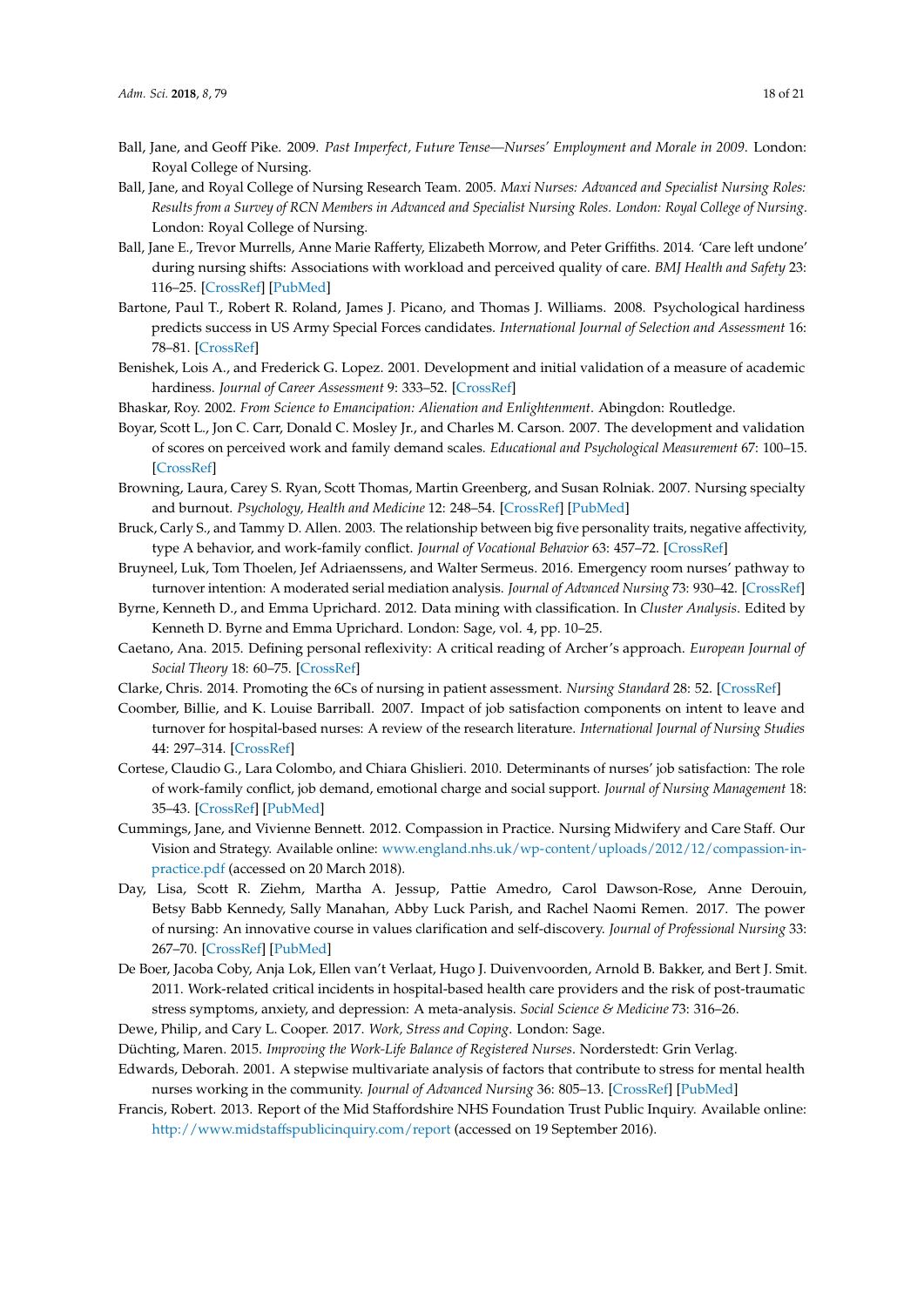- <span id="page-17-6"></span>Ball, Jane, and Geoff Pike. 2009. *Past Imperfect, Future Tense—Nurses' Employment and Morale in 2009*. London: Royal College of Nursing.
- <span id="page-17-20"></span>Ball, Jane, and Royal College of Nursing Research Team. 2005. *Maxi Nurses: Advanced and Specialist Nursing Roles: Results from a Survey of RCN Members in Advanced and Specialist Nursing Roles. London: Royal College of Nursing*. London: Royal College of Nursing.
- <span id="page-17-21"></span>Ball, Jane E., Trevor Murrells, Anne Marie Rafferty, Elizabeth Morrow, and Peter Griffiths. 2014. 'Care left undone' during nursing shifts: Associations with workload and perceived quality of care. *BMJ Health and Safety* 23: 116–25. [\[CrossRef\]](http://dx.doi.org/10.1136/bmjqs-2012-001767) [\[PubMed\]](http://www.ncbi.nlm.nih.gov/pubmed/23898215)
- <span id="page-17-16"></span>Bartone, Paul T., Robert R. Roland, James J. Picano, and Thomas J. Williams. 2008. Psychological hardiness predicts success in US Army Special Forces candidates. *International Journal of Selection and Assessment* 16: 78–81. [\[CrossRef\]](http://dx.doi.org/10.1111/j.1468-2389.2008.00412.x)
- <span id="page-17-17"></span>Benishek, Lois A., and Frederick G. Lopez. 2001. Development and initial validation of a measure of academic hardiness. *Journal of Career Assessment* 9: 333–52. [\[CrossRef\]](http://dx.doi.org/10.1177/106907270100900402)
- <span id="page-17-0"></span>Bhaskar, Roy. 2002. *From Science to Emancipation: Alienation and Enlightenment*. Abingdon: Routledge.
- <span id="page-17-18"></span>Boyar, Scott L., Jon C. Carr, Donald C. Mosley Jr., and Charles M. Carson. 2007. The development and validation of scores on perceived work and family demand scales. *Educational and Psychological Measurement* 67: 100–15. [\[CrossRef\]](http://dx.doi.org/10.1177/0013164406288173)
- <span id="page-17-10"></span>Browning, Laura, Carey S. Ryan, Scott Thomas, Martin Greenberg, and Susan Rolniak. 2007. Nursing specialty and burnout. *Psychology, Health and Medicine* 12: 248–54. [\[CrossRef\]](http://dx.doi.org/10.1080/13548500600568290) [\[PubMed\]](http://www.ncbi.nlm.nih.gov/pubmed/17365896)
- <span id="page-17-15"></span>Bruck, Carly S., and Tammy D. Allen. 2003. The relationship between big five personality traits, negative affectivity, type A behavior, and work-family conflict. *Journal of Vocational Behavior* 63: 457–72. [\[CrossRef\]](http://dx.doi.org/10.1016/S0001-8791(02)00040-4)
- <span id="page-17-8"></span>Bruyneel, Luk, Tom Thoelen, Jef Adriaenssens, and Walter Sermeus. 2016. Emergency room nurses' pathway to turnover intention: A moderated serial mediation analysis. *Journal of Advanced Nursing* 73: 930–42. [\[CrossRef\]](http://dx.doi.org/10.1111/jan.13188)
- <span id="page-17-19"></span>Byrne, Kenneth D., and Emma Uprichard. 2012. Data mining with classification. In *Cluster Analysis*. Edited by Kenneth D. Byrne and Emma Uprichard. London: Sage, vol. 4, pp. 10–25.
- <span id="page-17-1"></span>Caetano, Ana. 2015. Defining personal reflexivity: A critical reading of Archer's approach. *European Journal of Social Theory* 18: 60–75. [\[CrossRef\]](http://dx.doi.org/10.1177/1368431014549684)
- <span id="page-17-3"></span>Clarke, Chris. 2014. Promoting the 6Cs of nursing in patient assessment. *Nursing Standard* 28: 52. [\[CrossRef\]](http://dx.doi.org/10.7748/ns.28.44.52.e7967)
- <span id="page-17-11"></span>Coomber, Billie, and K. Louise Barriball. 2007. Impact of job satisfaction components on intent to leave and turnover for hospital-based nurses: A review of the research literature. *International Journal of Nursing Studies* 44: 297–314. [\[CrossRef\]](http://dx.doi.org/10.1016/j.ijnurstu.2006.02.004)
- <span id="page-17-12"></span>Cortese, Claudio G., Lara Colombo, and Chiara Ghislieri. 2010. Determinants of nurses' job satisfaction: The role of work-family conflict, job demand, emotional charge and social support. *Journal of Nursing Management* 18: 35–43. [\[CrossRef\]](http://dx.doi.org/10.1111/j.1365-2834.2009.01064.x) [\[PubMed\]](http://www.ncbi.nlm.nih.gov/pubmed/20465727)
- <span id="page-17-2"></span>Cummings, Jane, and Vivienne Bennett. 2012. Compassion in Practice. Nursing Midwifery and Care Staff. Our Vision and Strategy. Available online: [www.england.nhs.uk/wp-content/uploads/2012/12/compassion-in](www.england.nhs.uk/wp-content/uploads/2012/12/compassion-in-practice.pdf)[practice.pdf](www.england.nhs.uk/wp-content/uploads/2012/12/compassion-in-practice.pdf) (accessed on 20 March 2018).
- <span id="page-17-4"></span>Day, Lisa, Scott R. Ziehm, Martha A. Jessup, Pattie Amedro, Carol Dawson-Rose, Anne Derouin, Betsy Babb Kennedy, Sally Manahan, Abby Luck Parish, and Rachel Naomi Remen. 2017. The power of nursing: An innovative course in values clarification and self-discovery. *Journal of Professional Nursing* 33: 267–70. [\[CrossRef\]](http://dx.doi.org/10.1016/j.profnurs.2017.01.005) [\[PubMed\]](http://www.ncbi.nlm.nih.gov/pubmed/28734485)
- <span id="page-17-7"></span>De Boer, Jacoba Coby, Anja Lok, Ellen van't Verlaat, Hugo J. Duivenvoorden, Arnold B. Bakker, and Bert J. Smit. 2011. Work-related critical incidents in hospital-based health care providers and the risk of post-traumatic stress symptoms, anxiety, and depression: A meta-analysis. *Social Science & Medicine* 73: 316–26.
- <span id="page-17-14"></span>Dewe, Philip, and Cary L. Cooper. 2017. *Work, Stress and Coping*. London: Sage.
- <span id="page-17-13"></span><span id="page-17-9"></span>Düchting, Maren. 2015. *Improving the Work-Life Balance of Registered Nurses*. Norderstedt: Grin Verlag.
- Edwards, Deborah. 2001. A stepwise multivariate analysis of factors that contribute to stress for mental health nurses working in the community. *Journal of Advanced Nursing* 36: 805–13. [\[CrossRef\]](http://dx.doi.org/10.1046/j.1365-2648.2001.02035.x) [\[PubMed\]](http://www.ncbi.nlm.nih.gov/pubmed/11903710)
- <span id="page-17-5"></span>Francis, Robert. 2013. Report of the Mid Staffordshire NHS Foundation Trust Public Inquiry. Available online: <http://www.midstaffspublicinquiry.com/report> (accessed on 19 September 2016).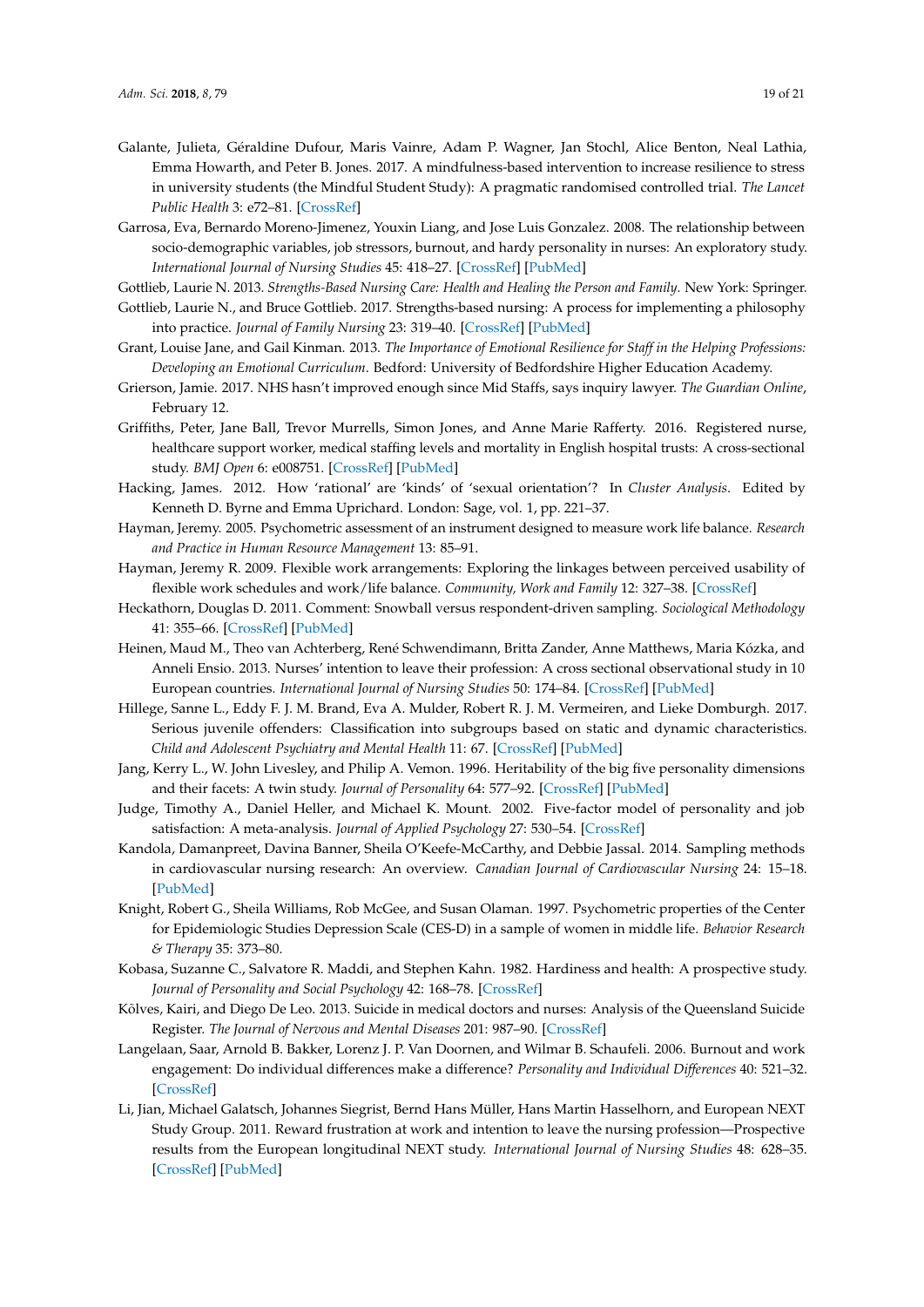- <span id="page-18-18"></span>Galante, Julieta, Géraldine Dufour, Maris Vainre, Adam P. Wagner, Jan Stochl, Alice Benton, Neal Lathia, Emma Howarth, and Peter B. Jones. 2017. A mindfulness-based intervention to increase resilience to stress in university students (the Mindful Student Study): A pragmatic randomised controlled trial. *The Lancet Public Health* 3: e72–81. [\[CrossRef\]](http://dx.doi.org/10.1016/S2468-2667(17)30231-1)
- <span id="page-18-10"></span>Garrosa, Eva, Bernardo Moreno-Jimenez, Youxin Liang, and Jose Luis Gonzalez. 2008. The relationship between socio-demographic variables, job stressors, burnout, and hardy personality in nurses: An exploratory study. *International Journal of Nursing Studies* 45: 418–27. [\[CrossRef\]](http://dx.doi.org/10.1016/j.ijnurstu.2006.09.003) [\[PubMed\]](http://www.ncbi.nlm.nih.gov/pubmed/17109862)

<span id="page-18-1"></span>Gottlieb, Laurie N. 2013. *Strengths-Based Nursing Care: Health and Healing the Person and Family*. New York: Springer.

- <span id="page-18-0"></span>Gottlieb, Laurie N., and Bruce Gottlieb. 2017. Strengths-based nursing: A process for implementing a philosophy into practice. *Journal of Family Nursing* 23: 319–40. [\[CrossRef\]](http://dx.doi.org/10.1177/1074840717717731) [\[PubMed\]](http://www.ncbi.nlm.nih.gov/pubmed/28795856)
- <span id="page-18-19"></span>Grant, Louise Jane, and Gail Kinman. 2013. *The Importance of Emotional Resilience for Staff in the Helping Professions: Developing an Emotional Curriculum*. Bedford: University of Bedfordshire Higher Education Academy.
- <span id="page-18-20"></span>Grierson, Jamie. 2017. NHS hasn't improved enough since Mid Staffs, says inquiry lawyer. *The Guardian Online*, February 12.
- <span id="page-18-2"></span>Griffiths, Peter, Jane Ball, Trevor Murrells, Simon Jones, and Anne Marie Rafferty. 2016. Registered nurse, healthcare support worker, medical staffing levels and mortality in English hospital trusts: A cross-sectional study. *BMJ Open* 6: e008751. [\[CrossRef\]](http://dx.doi.org/10.1136/bmjopen-2015-008751) [\[PubMed\]](http://www.ncbi.nlm.nih.gov/pubmed/26861934)
- <span id="page-18-17"></span>Hacking, James. 2012. How 'rational' are 'kinds' of 'sexual orientation'? In *Cluster Analysis*. Edited by Kenneth D. Byrne and Emma Uprichard. London: Sage, vol. 1, pp. 221–37.
- <span id="page-18-13"></span>Hayman, Jeremy. 2005. Psychometric assessment of an instrument designed to measure work life balance. *Research and Practice in Human Resource Management* 13: 85–91.
- <span id="page-18-14"></span>Hayman, Jeremy R. 2009. Flexible work arrangements: Exploring the linkages between perceived usability of flexible work schedules and work/life balance. *Community, Work and Family* 12: 327–38. [\[CrossRef\]](http://dx.doi.org/10.1080/13668800902966331)
- <span id="page-18-6"></span>Heckathorn, Douglas D. 2011. Comment: Snowball versus respondent-driven sampling. *Sociological Methodology* 41: 355–66. [\[CrossRef\]](http://dx.doi.org/10.1111/j.1467-9531.2011.01244.x) [\[PubMed\]](http://www.ncbi.nlm.nih.gov/pubmed/22228916)
- <span id="page-18-5"></span>Heinen, Maud M., Theo van Achterberg, René Schwendimann, Britta Zander, Anne Matthews, Maria Kózka, and Anneli Ensio. 2013. Nurses' intention to leave their profession: A cross sectional observational study in 10 European countries. *International Journal of Nursing Studies* 50: 174–84. [\[CrossRef\]](http://dx.doi.org/10.1016/j.ijnurstu.2012.09.019) [\[PubMed\]](http://www.ncbi.nlm.nih.gov/pubmed/23107005)
- <span id="page-18-16"></span>Hillege, Sanne L., Eddy F. J. M. Brand, Eva A. Mulder, Robert R. J. M. Vermeiren, and Lieke Domburgh. 2017. Serious juvenile offenders: Classification into subgroups based on static and dynamic characteristics. *Child and Adolescent Psychiatry and Mental Health* 11: 67. [\[CrossRef\]](http://dx.doi.org/10.1186/s13034-017-0201-4) [\[PubMed\]](http://www.ncbi.nlm.nih.gov/pubmed/29296120)
- <span id="page-18-11"></span>Jang, Kerry L., W. John Livesley, and Philip A. Vemon. 1996. Heritability of the big five personality dimensions and their facets: A twin study. *Journal of Personality* 64: 577–92. [\[CrossRef\]](http://dx.doi.org/10.1111/j.1467-6494.1996.tb00522.x) [\[PubMed\]](http://www.ncbi.nlm.nih.gov/pubmed/8776880)
- <span id="page-18-4"></span>Judge, Timothy A., Daniel Heller, and Michael K. Mount. 2002. Five-factor model of personality and job satisfaction: A meta-analysis. *Journal of Applied Psychology* 27: 530–54. [\[CrossRef\]](http://dx.doi.org/10.1037/0021-9010.87.3.530)
- <span id="page-18-7"></span>Kandola, Damanpreet, Davina Banner, Sheila O'Keefe-McCarthy, and Debbie Jassal. 2014. Sampling methods in cardiovascular nursing research: An overview. *Canadian Journal of Cardiovascular Nursing* 24: 15–18. [\[PubMed\]](http://www.ncbi.nlm.nih.gov/pubmed/27356461)
- <span id="page-18-12"></span>Knight, Robert G., Sheila Williams, Rob McGee, and Susan Olaman. 1997. Psychometric properties of the Center for Epidemiologic Studies Depression Scale (CES-D) in a sample of women in middle life. *Behavior Research & Therapy* 35: 373–80.
- <span id="page-18-9"></span>Kobasa, Suzanne C., Salvatore R. Maddi, and Stephen Kahn. 1982. Hardiness and health: A prospective study. *Journal of Personality and Social Psychology* 42: 168–78. [\[CrossRef\]](http://dx.doi.org/10.1037/0022-3514.42.1.168)
- <span id="page-18-3"></span>Kõlves, Kairi, and Diego De Leo. 2013. Suicide in medical doctors and nurses: Analysis of the Queensland Suicide Register. *The Journal of Nervous and Mental Diseases* 201: 987–90. [\[CrossRef\]](http://dx.doi.org/10.1097/NMD.0000000000000047)
- <span id="page-18-8"></span>Langelaan, Saar, Arnold B. Bakker, Lorenz J. P. Van Doornen, and Wilmar B. Schaufeli. 2006. Burnout and work engagement: Do individual differences make a difference? *Personality and Individual Differences* 40: 521–32. [\[CrossRef\]](http://dx.doi.org/10.1016/j.paid.2005.07.009)
- <span id="page-18-15"></span>Li, Jian, Michael Galatsch, Johannes Siegrist, Bernd Hans Müller, Hans Martin Hasselhorn, and European NEXT Study Group. 2011. Reward frustration at work and intention to leave the nursing profession—Prospective results from the European longitudinal NEXT study. *International Journal of Nursing Studies* 48: 628–35. [\[CrossRef\]](http://dx.doi.org/10.1016/j.ijnurstu.2010.09.011) [\[PubMed\]](http://www.ncbi.nlm.nih.gov/pubmed/20947084)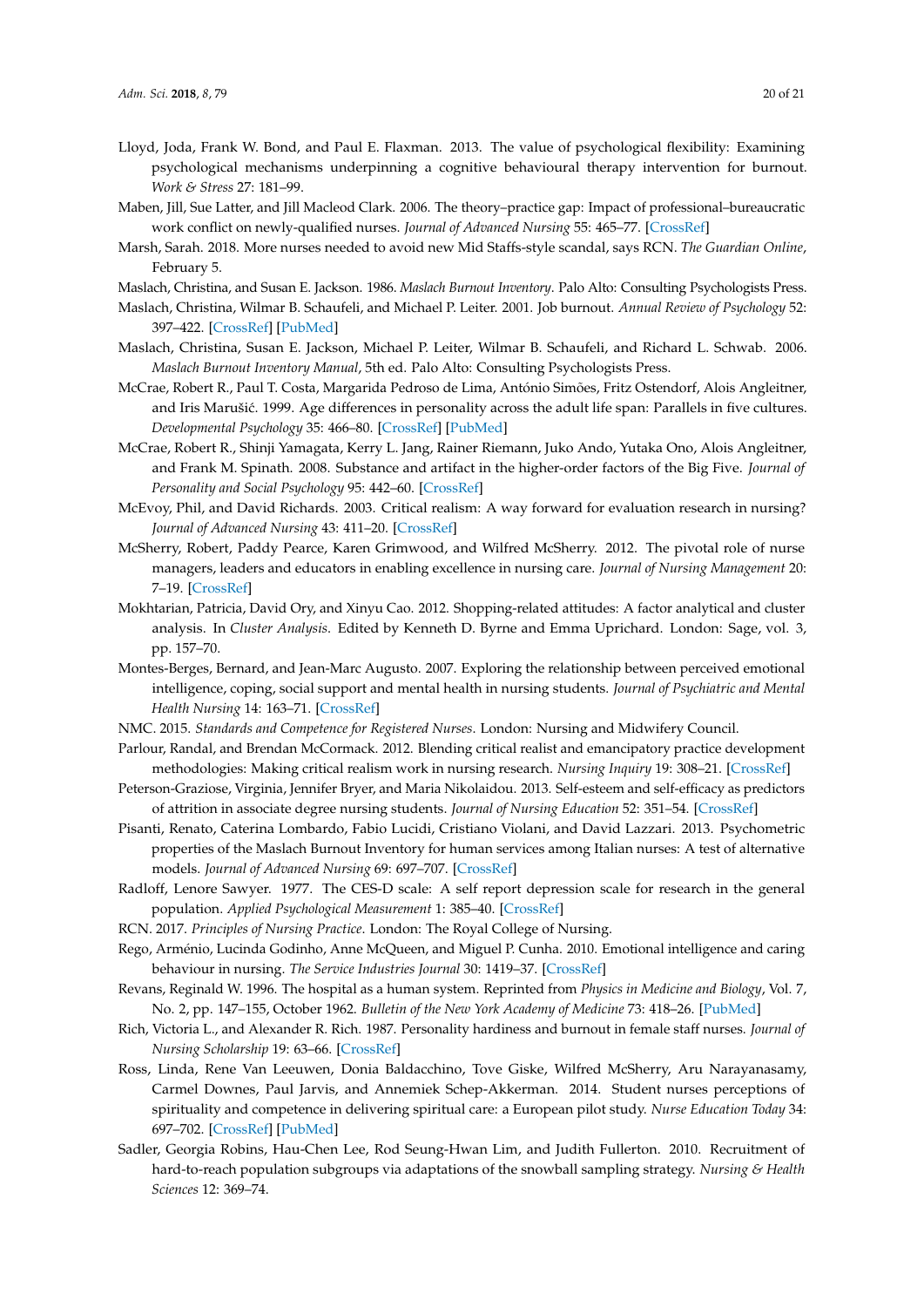- <span id="page-19-19"></span>Lloyd, Joda, Frank W. Bond, and Paul E. Flaxman. 2013. The value of psychological flexibility: Examining psychological mechanisms underpinning a cognitive behavioural therapy intervention for burnout. *Work & Stress* 27: 181–99.
- <span id="page-19-5"></span>Maben, Jill, Sue Latter, and Jill Macleod Clark. 2006. The theory–practice gap: Impact of professional–bureaucratic work conflict on newly-qualified nurses. *Journal of Advanced Nursing* 55: 465–77. [\[CrossRef\]](http://dx.doi.org/10.1111/j.1365-2648.2006.03939.x)
- <span id="page-19-7"></span>Marsh, Sarah. 2018. More nurses needed to avoid new Mid Staffs-style scandal, says RCN. *The Guardian Online*, February 5.

<span id="page-19-10"></span>Maslach, Christina, and Susan E. Jackson. 1986. *Maslach Burnout Inventory*. Palo Alto: Consulting Psychologists Press.

- <span id="page-19-11"></span>Maslach, Christina, Wilmar B. Schaufeli, and Michael P. Leiter. 2001. Job burnout. *Annual Review of Psychology* 52: 397–422. [\[CrossRef\]](http://dx.doi.org/10.1146/annurev.psych.52.1.397) [\[PubMed\]](http://www.ncbi.nlm.nih.gov/pubmed/11148311)
- <span id="page-19-12"></span>Maslach, Christina, Susan E. Jackson, Michael P. Leiter, Wilmar B. Schaufeli, and Richard L. Schwab. 2006. *Maslach Burnout Inventory Manual*, 5th ed. Palo Alto: Consulting Psychologists Press.
- <span id="page-19-8"></span>McCrae, Robert R., Paul T. Costa, Margarida Pedroso de Lima, António Simões, Fritz Ostendorf, Alois Angleitner, and Iris Marušić. 1999. Age differences in personality across the adult life span: Parallels in five cultures. *Developmental Psychology* 35: 466–80. [\[CrossRef\]](http://dx.doi.org/10.1037/0012-1649.35.2.466) [\[PubMed\]](http://www.ncbi.nlm.nih.gov/pubmed/10082017)
- <span id="page-19-15"></span>McCrae, Robert R., Shinji Yamagata, Kerry L. Jang, Rainer Riemann, Juko Ando, Yutaka Ono, Alois Angleitner, and Frank M. Spinath. 2008. Substance and artifact in the higher-order factors of the Big Five. *Journal of Personality and Social Psychology* 95: 442–60. [\[CrossRef\]](http://dx.doi.org/10.1037/0022-3514.95.2.442)
- <span id="page-19-1"></span>McEvoy, Phil, and David Richards. 2003. Critical realism: A way forward for evaluation research in nursing? *Journal of Advanced Nursing* 43: 411–20. [\[CrossRef\]](http://dx.doi.org/10.1046/j.1365-2648.2003.02730.x)
- <span id="page-19-4"></span>McSherry, Robert, Paddy Pearce, Karen Grimwood, and Wilfred McSherry. 2012. The pivotal role of nurse managers, leaders and educators in enabling excellence in nursing care. *Journal of Nursing Management* 20: 7–19. [\[CrossRef\]](http://dx.doi.org/10.1111/j.1365-2834.2011.01349.x)
- <span id="page-19-18"></span>Mokhtarian, Patricia, David Ory, and Xinyu Cao. 2012. Shopping-related attitudes: A factor analytical and cluster analysis. In *Cluster Analysis*. Edited by Kenneth D. Byrne and Emma Uprichard. London: Sage, vol. 3, pp. 157–70.
- <span id="page-19-21"></span>Montes-Berges, Bernard, and Jean-Marc Augusto. 2007. Exploring the relationship between perceived emotional intelligence, coping, social support and mental health in nursing students. *Journal of Psychiatric and Mental Health Nursing* 14: 163–71. [\[CrossRef\]](http://dx.doi.org/10.1111/j.1365-2850.2007.01059.x)
- <span id="page-19-3"></span><span id="page-19-2"></span>NMC. 2015. *Standards and Competence for Registered Nurses*. London: Nursing and Midwifery Council.
- Parlour, Randal, and Brendan McCormack. 2012. Blending critical realist and emancipatory practice development methodologies: Making critical realism work in nursing research. *Nursing Inquiry* 19: 308–21. [\[CrossRef\]](http://dx.doi.org/10.1111/j.1440-1800.2011.00577.x)
- <span id="page-19-17"></span>Peterson-Graziose, Virginia, Jennifer Bryer, and Maria Nikolaidou. 2013. Self-esteem and self-efficacy as predictors of attrition in associate degree nursing students. *Journal of Nursing Education* 52: 351–54. [\[CrossRef\]](http://dx.doi.org/10.3928/01484834-20130520-01)
- <span id="page-19-14"></span>Pisanti, Renato, Caterina Lombardo, Fabio Lucidi, Cristiano Violani, and David Lazzari. 2013. Psychometric properties of the Maslach Burnout Inventory for human services among Italian nurses: A test of alternative models. *Journal of Advanced Nursing* 69: 697–707. [\[CrossRef\]](http://dx.doi.org/10.1111/j.1365-2648.2012.06114.x)
- <span id="page-19-16"></span>Radloff, Lenore Sawyer. 1977. The CES-D scale: A self report depression scale for research in the general population. *Applied Psychological Measurement* 1: 385–40. [\[CrossRef\]](http://dx.doi.org/10.1177/014662167700100306)
- <span id="page-19-6"></span>RCN. 2017. *Principles of Nursing Practice*. London: The Royal College of Nursing.
- <span id="page-19-22"></span>Rego, Arménio, Lucinda Godinho, Anne McQueen, and Miguel P. Cunha. 2010. Emotional intelligence and caring behaviour in nursing. *The Service Industries Journal* 30: 1419–37. [\[CrossRef\]](http://dx.doi.org/10.1080/02642060802621486)
- <span id="page-19-0"></span>Revans, Reginald W. 1996. The hospital as a human system. Reprinted from *Physics in Medicine and Biology*, Vol. 7, No. 2, pp. 147–155, October 1962. *Bulletin of the New York Academy of Medicine* 73: 418–26. [\[PubMed\]](http://www.ncbi.nlm.nih.gov/pubmed/8982530)
- <span id="page-19-13"></span>Rich, Victoria L., and Alexander R. Rich. 1987. Personality hardiness and burnout in female staff nurses. *Journal of Nursing Scholarship* 19: 63–66. [\[CrossRef\]](http://dx.doi.org/10.1111/j.1547-5069.1987.tb00592.x)
- <span id="page-19-20"></span>Ross, Linda, Rene Van Leeuwen, Donia Baldacchino, Tove Giske, Wilfred McSherry, Aru Narayanasamy, Carmel Downes, Paul Jarvis, and Annemiek Schep-Akkerman. 2014. Student nurses perceptions of spirituality and competence in delivering spiritual care: a European pilot study. *Nurse Education Today* 34: 697–702. [\[CrossRef\]](http://dx.doi.org/10.1016/j.nedt.2013.09.014) [\[PubMed\]](http://www.ncbi.nlm.nih.gov/pubmed/24119953)
- <span id="page-19-9"></span>Sadler, Georgia Robins, Hau-Chen Lee, Rod Seung-Hwan Lim, and Judith Fullerton. 2010. Recruitment of hard-to-reach population subgroups via adaptations of the snowball sampling strategy. *Nursing & Health Sciences* 12: 369–74.